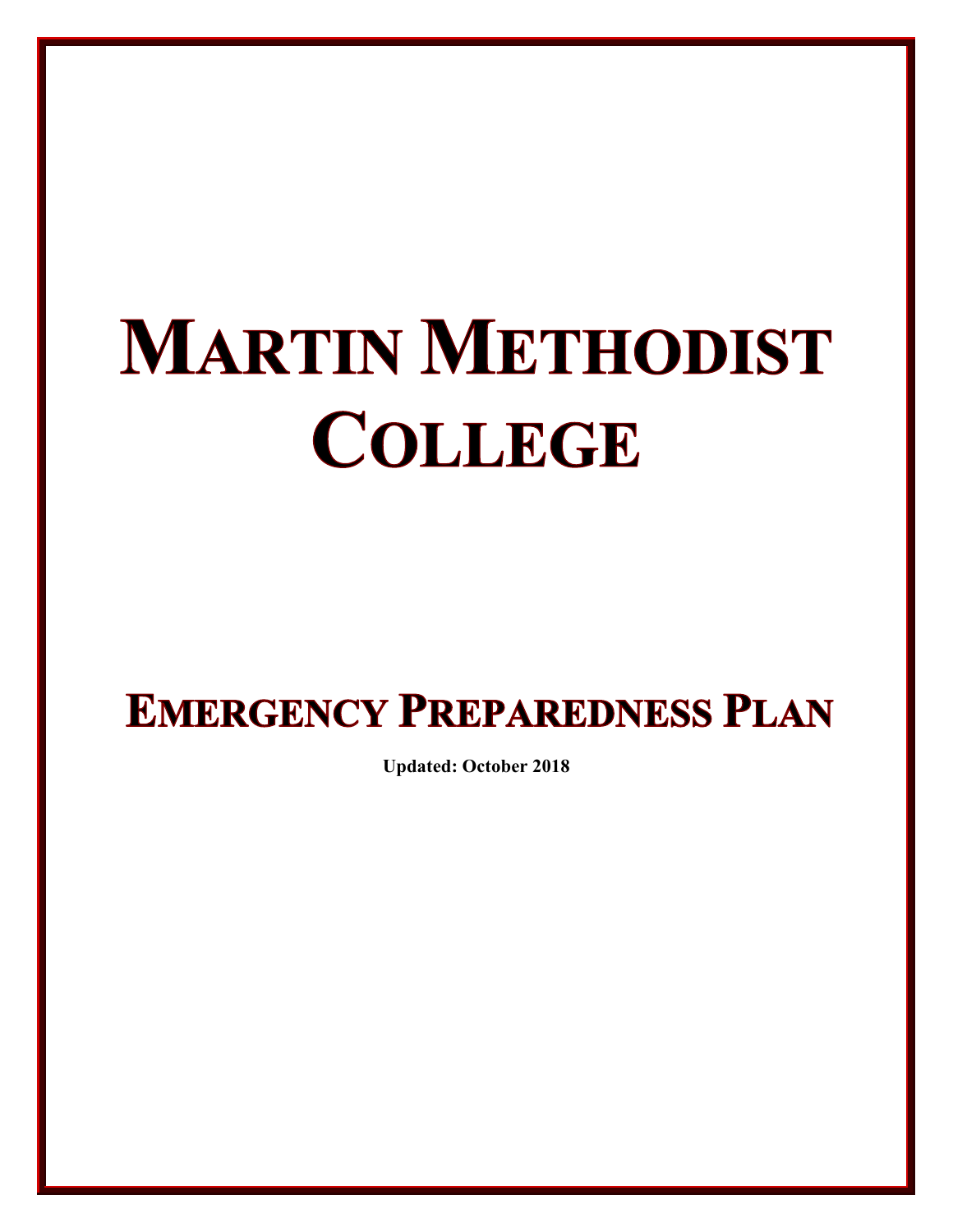# **MARTIN METHODIST COLLEGE**

# **EMERGENCY PREPAREDNESS PLAN**

**Updated: October 2018**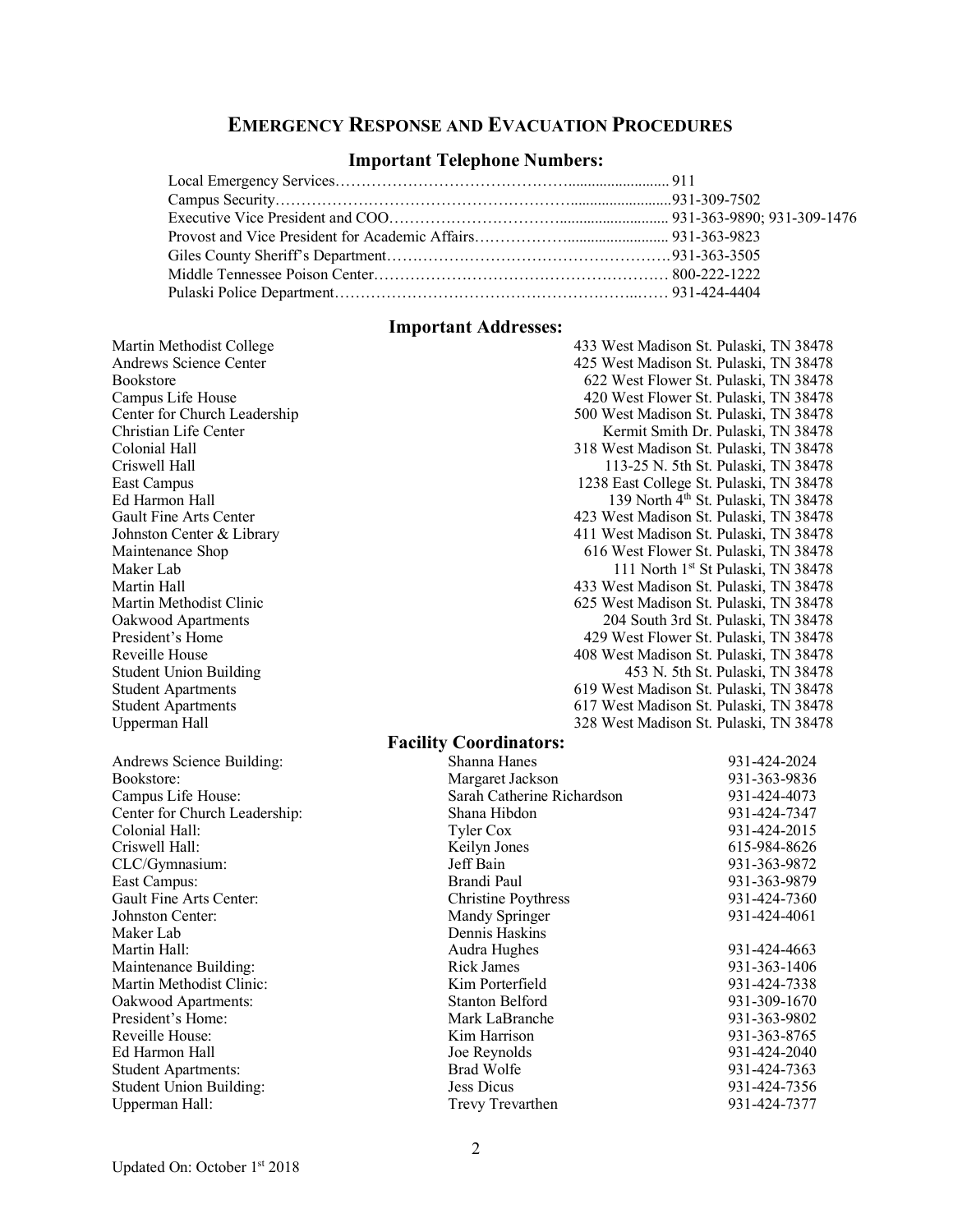#### **EMERGENCY RESPONSE AND EVACUATION PROCEDURES**

#### **Important Telephone Numbers:**

#### **Important Addresses:**

Upperman Hall 328 West Madison St. Pulaski, TN 38478

Martin Methodist College 433 West Madison St. Pulaski, TN 38478 Andrews Science Center 425 West Madison St. Pulaski, TN 38478<br>Bookstore 622 West Flower St. Pulaski. TN 38478 622 West Flower St. Pulaski, TN 38478 Campus Life House 420 West Flower St. Pulaski, TN 38478 Center for Church Leadership 500 West Madison St. Pulaski, TN 38478 Christian Life Center **Christian Life Center** Kermit Smith Dr. Pulaski, TN 38478<br>Colonial Hall **Smith Dr. Pulaski, TN 38478** 318 West Madison St. Pulaski, TN 38478 Criswell Hall 113-25 N. 5th St. Pulaski, TN 38478<br>East Campus 1238 East College St. Pulaski, TN 38478 1238 East College St. Pulaski, TN 38478 Ed Harmon Hall  $139$  North  $4<sup>th</sup>$  St. Pulaski, TN 38478 Gault Fine Arts Center (and the Arts Center 423 West Madison St. Pulaski, TN 38478<br>
Johnston Center & Library (411 West Madison St. Pulaski, TN 38478) Johnston Center & Library 111 West Madison St. Pulaski, TN 38478<br>Maintenance Shop 616 West Flower St. Pulaski. TN 38478 616 West Flower St. Pulaski, TN 38478 Maker Lab 111 North 1st St Pulaski, TN 38478 Martin Hall 433 West Madison St. Pulaski, TN 38478 Martin Methodist Clinic 625 West Madison St. Pulaski, TN 38478 Oakwood Apartments 204 South 3rd St. Pulaski, TN 38478 President's Home 429 West Flower St. Pulaski, TN 38478 Reveille House 408 West Madison St. Pulaski, TN 38478<br>Student Union Building 453 N. 5th St. Pulaski, TN 38478 453 N. 5th St. Pulaski, TN 38478 Student Apartments 619 West Madison St. Pulaski, TN 38478 Student Apartments 617 West Madison St. Pulaski, TN 38478

#### **Facility Coordinators:**

| Andrews Science Building:      | Shanna Hanes               | 931-424-2024 |
|--------------------------------|----------------------------|--------------|
| Bookstore:                     | Margaret Jackson           | 931-363-9836 |
| Campus Life House:             | Sarah Catherine Richardson | 931-424-4073 |
| Center for Church Leadership:  | Shana Hibdon               | 931-424-7347 |
| Colonial Hall:                 | Tyler Cox                  | 931-424-2015 |
| Criswell Hall:                 | Keilyn Jones               | 615-984-8626 |
| CLC/Gymnasium:                 | Jeff Bain                  | 931-363-9872 |
| East Campus:                   | Brandi Paul                | 931-363-9879 |
| Gault Fine Arts Center:        | <b>Christine Poythress</b> | 931-424-7360 |
| Johnston Center:               | Mandy Springer             | 931-424-4061 |
| Maker Lab                      | Dennis Haskins             |              |
| Martin Hall:                   | Audra Hughes               | 931-424-4663 |
| Maintenance Building:          | <b>Rick James</b>          | 931-363-1406 |
| Martin Methodist Clinic:       | Kim Porterfield            | 931-424-7338 |
| Oakwood Apartments:            | Stanton Belford            | 931-309-1670 |
| President's Home:              | Mark LaBranche             | 931-363-9802 |
| Reveille House:                | Kim Harrison               | 931-363-8765 |
| Ed Harmon Hall                 | Joe Reynolds               | 931-424-2040 |
| <b>Student Apartments:</b>     | <b>Brad Wolfe</b>          | 931-424-7363 |
| <b>Student Union Building:</b> | Jess Dicus                 | 931-424-7356 |
| Upperman Hall:                 | Trevy Trevarthen           | 931-424-7377 |
|                                |                            |              |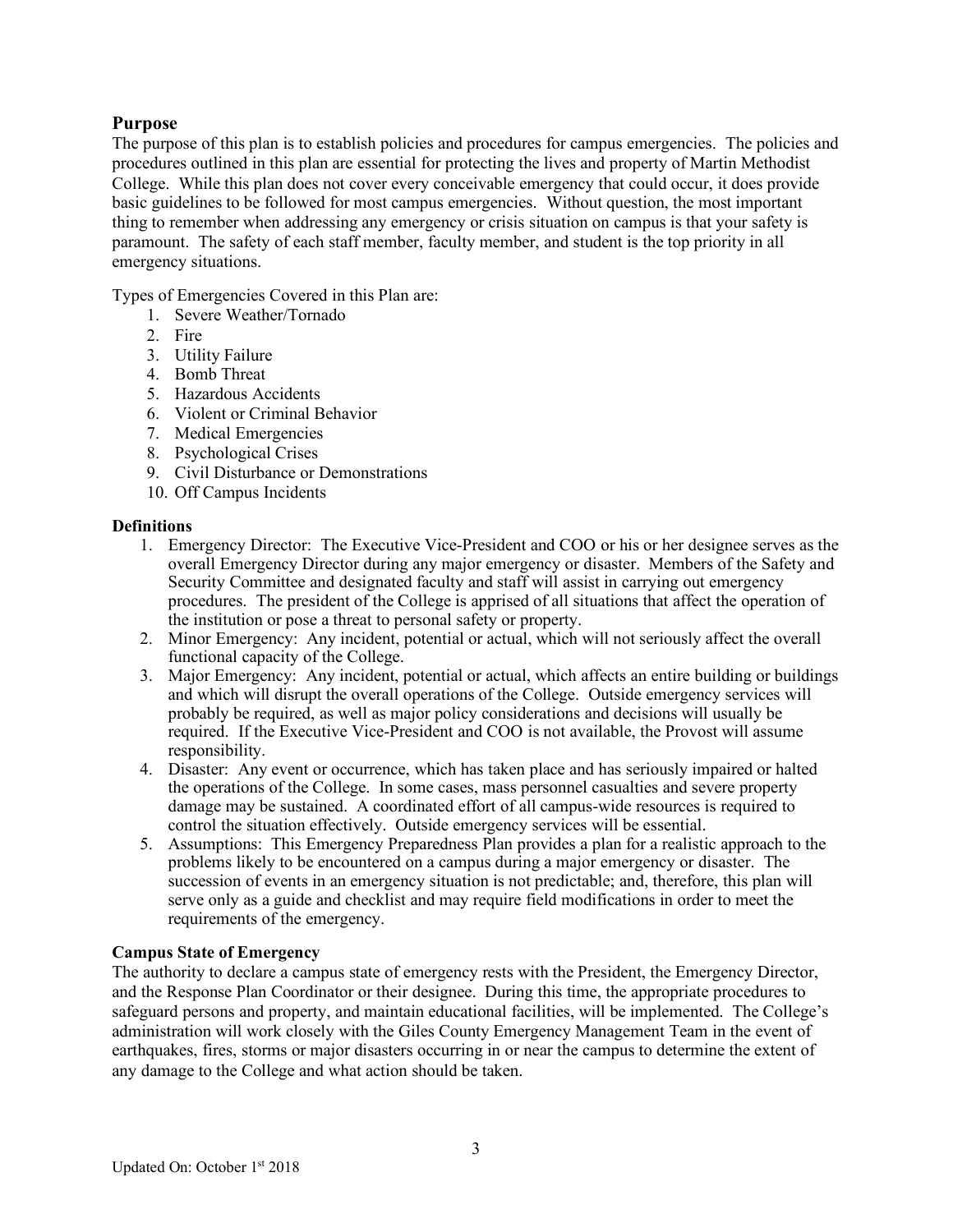# **Purpose**

The purpose of this plan is to establish policies and procedures for campus emergencies. The policies and procedures outlined in this plan are essential for protecting the lives and property of Martin Methodist College. While this plan does not cover every conceivable emergency that could occur, it does provide basic guidelines to be followed for most campus emergencies. Without question, the most important thing to remember when addressing any emergency or crisis situation on campus is that your safety is paramount. The safety of each staff member, faculty member, and student is the top priority in all emergency situations.

Types of Emergencies Covered in this Plan are:

- 1. Severe Weather/Tornado
- 2. Fire
- 3. Utility Failure
- 4. Bomb Threat
- 5. Hazardous Accidents
- 6. Violent or Criminal Behavior
- 7. Medical Emergencies
- 8. Psychological Crises
- 9. Civil Disturbance or Demonstrations
- 10. Off Campus Incidents

#### **Definitions**

- 1. Emergency Director: The Executive Vice-President and COO or his or her designee serves as the overall Emergency Director during any major emergency or disaster. Members of the Safety and Security Committee and designated faculty and staff will assist in carrying out emergency procedures. The president of the College is apprised of all situations that affect the operation of the institution or pose a threat to personal safety or property.
- 2. Minor Emergency: Any incident, potential or actual, which will not seriously affect the overall functional capacity of the College.
- 3. Major Emergency: Any incident, potential or actual, which affects an entire building or buildings and which will disrupt the overall operations of the College. Outside emergency services will probably be required, as well as major policy considerations and decisions will usually be required. If the Executive Vice-President and COO is not available, the Provost will assume responsibility.
- 4. Disaster: Any event or occurrence, which has taken place and has seriously impaired or halted the operations of the College. In some cases, mass personnel casualties and severe property damage may be sustained. A coordinated effort of all campus-wide resources is required to control the situation effectively. Outside emergency services will be essential.
- 5. Assumptions: This Emergency Preparedness Plan provides a plan for a realistic approach to the problems likely to be encountered on a campus during a major emergency or disaster. The succession of events in an emergency situation is not predictable; and, therefore, this plan will serve only as a guide and checklist and may require field modifications in order to meet the requirements of the emergency.

#### **Campus State of Emergency**

The authority to declare a campus state of emergency rests with the President, the Emergency Director, and the Response Plan Coordinator or their designee. During this time, the appropriate procedures to safeguard persons and property, and maintain educational facilities, will be implemented. The College's administration will work closely with the Giles County Emergency Management Team in the event of earthquakes, fires, storms or major disasters occurring in or near the campus to determine the extent of any damage to the College and what action should be taken.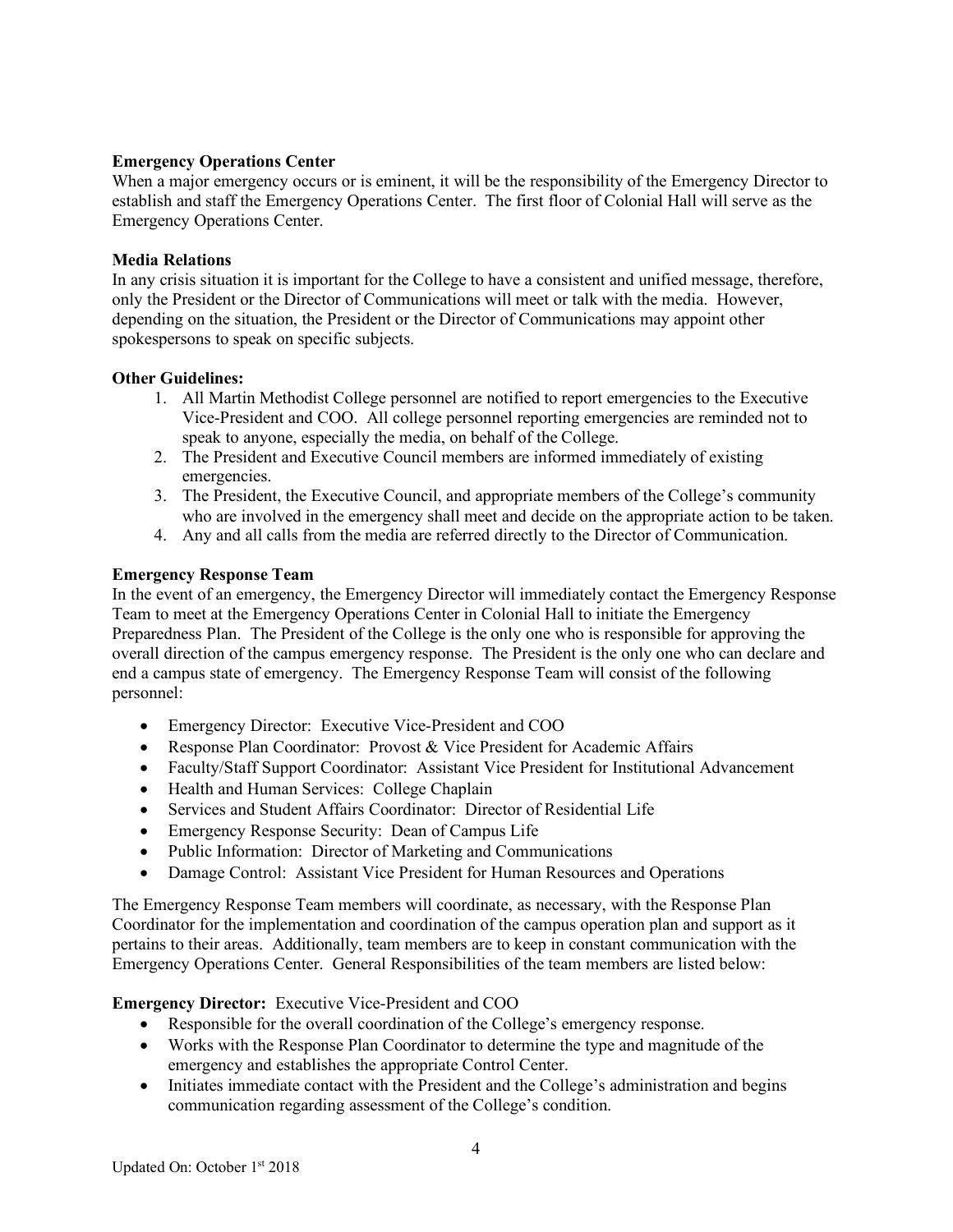#### **Emergency Operations Center**

When a major emergency occurs or is eminent, it will be the responsibility of the Emergency Director to establish and staff the Emergency Operations Center. The first floor of Colonial Hall will serve as the Emergency Operations Center.

#### **Media Relations**

In any crisis situation it is important for the College to have a consistent and unified message, therefore, only the President or the Director of Communications will meet or talk with the media. However, depending on the situation, the President or the Director of Communications may appoint other spokespersons to speak on specific subjects.

### **Other Guidelines:**

- 1. All Martin Methodist College personnel are notified to report emergencies to the Executive Vice-President and COO. All college personnel reporting emergencies are reminded not to speak to anyone, especially the media, on behalf of the College.
- 2. The President and Executive Council members are informed immediately of existing emergencies.
- 3. The President, the Executive Council, and appropriate members of the College's community who are involved in the emergency shall meet and decide on the appropriate action to be taken.
- 4. Any and all calls from the media are referred directly to the Director of Communication.

# **Emergency Response Team**

In the event of an emergency, the Emergency Director will immediately contact the Emergency Response Team to meet at the Emergency Operations Center in Colonial Hall to initiate the Emergency Preparedness Plan. The President of the College is the only one who is responsible for approving the overall direction of the campus emergency response. The President is the only one who can declare and end a campus state of emergency. The Emergency Response Team will consist of the following personnel:

- Emergency Director: Executive Vice-President and COO
- Response Plan Coordinator: Provost & Vice President for Academic Affairs
- Faculty/Staff Support Coordinator: Assistant Vice President for Institutional Advancement
- Health and Human Services: College Chaplain
- Services and Student Affairs Coordinator: Director of Residential Life
- Emergency Response Security: Dean of Campus Life
- Public Information: Director of Marketing and Communications
- Damage Control: Assistant Vice President for Human Resources and Operations

The Emergency Response Team members will coordinate, as necessary, with the Response Plan Coordinator for the implementation and coordination of the campus operation plan and support as it pertains to their areas. Additionally, team members are to keep in constant communication with the Emergency Operations Center. General Responsibilities of the team members are listed below:

# **Emergency Director:** Executive Vice-President and COO

- Responsible for the overall coordination of the College's emergency response.
- Works with the Response Plan Coordinator to determine the type and magnitude of the emergency and establishes the appropriate Control Center.
- Initiates immediate contact with the President and the College's administration and begins communication regarding assessment of the College's condition.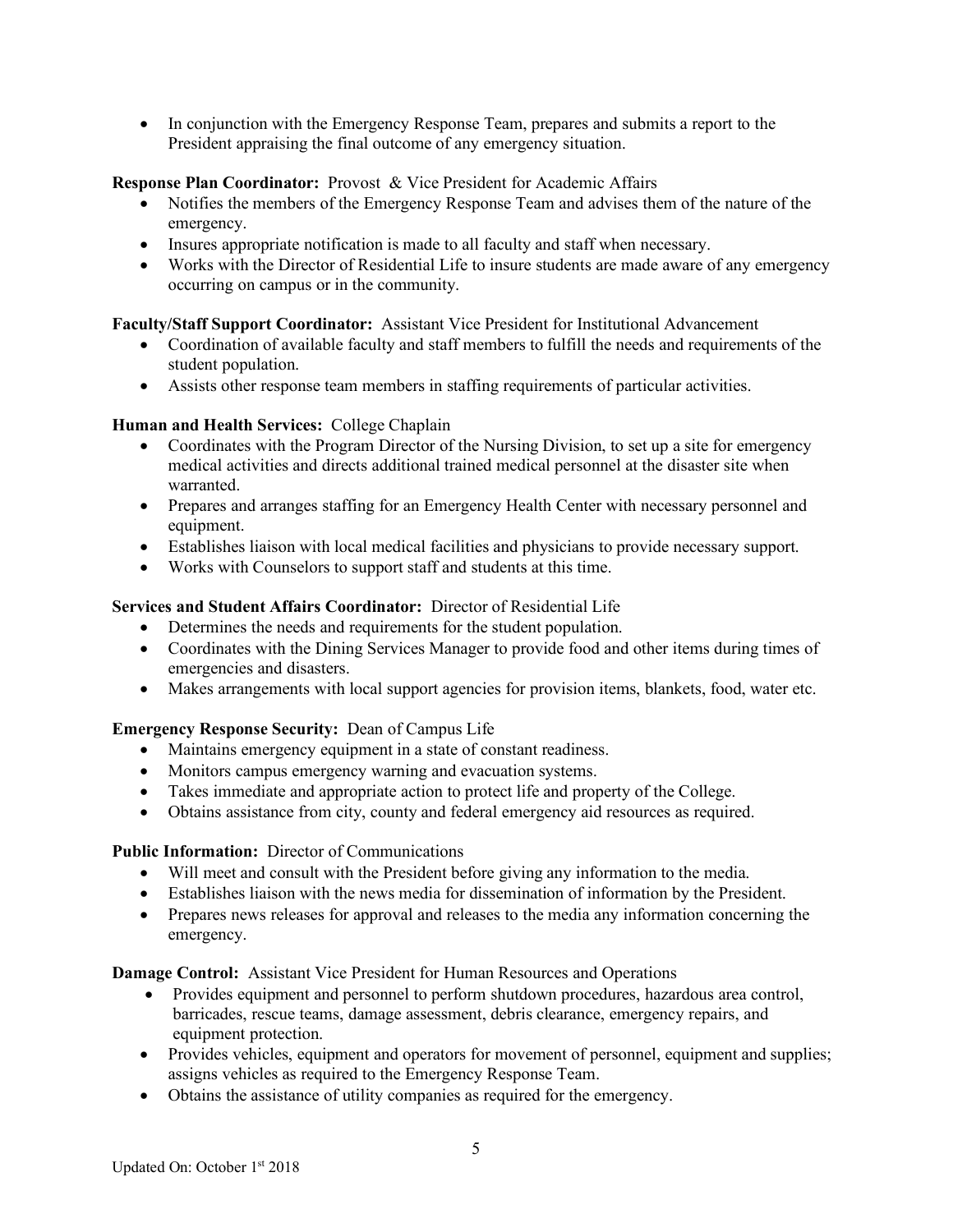• In conjunction with the Emergency Response Team, prepares and submits a report to the President appraising the final outcome of any emergency situation.

# **Response Plan Coordinator:** Provost & Vice President for Academic Affairs

- Notifies the members of the Emergency Response Team and advises them of the nature of the emergency.
- Insures appropriate notification is made to all faculty and staff when necessary.
- Works with the Director of Residential Life to insure students are made aware of any emergency occurring on campus or in the community.

### **Faculty/Staff Support Coordinator:** Assistant Vice President for Institutional Advancement

- Coordination of available faculty and staff members to fulfill the needs and requirements of the student population.
- Assists other response team members in staffing requirements of particular activities.

### **Human and Health Services:** College Chaplain

- Coordinates with the Program Director of the Nursing Division, to set up a site for emergency medical activities and directs additional trained medical personnel at the disaster site when warranted.
- Prepares and arranges staffing for an Emergency Health Center with necessary personnel and equipment.
- Establishes liaison with local medical facilities and physicians to provide necessary support.
- Works with Counselors to support staff and students at this time.

### **Services and Student Affairs Coordinator:** Director of Residential Life

- Determines the needs and requirements for the student population.
- Coordinates with the Dining Services Manager to provide food and other items during times of emergencies and disasters.
- Makes arrangements with local support agencies for provision items, blankets, food, water etc.

# **Emergency Response Security:** Dean of Campus Life

- Maintains emergency equipment in a state of constant readiness.
- Monitors campus emergency warning and evacuation systems.
- Takes immediate and appropriate action to protect life and property of the College.
- Obtains assistance from city, county and federal emergency aid resources as required.

#### **Public Information:** Director of Communications

- Will meet and consult with the President before giving any information to the media.
- Establishes liaison with the news media for dissemination of information by the President.
- Prepares news releases for approval and releases to the media any information concerning the emergency.

**Damage Control:** Assistant Vice President for Human Resources and Operations

- Provides equipment and personnel to perform shutdown procedures, hazardous area control, barricades, rescue teams, damage assessment, debris clearance, emergency repairs, and equipment protection.
- Provides vehicles, equipment and operators for movement of personnel, equipment and supplies; assigns vehicles as required to the Emergency Response Team.
- Obtains the assistance of utility companies as required for the emergency.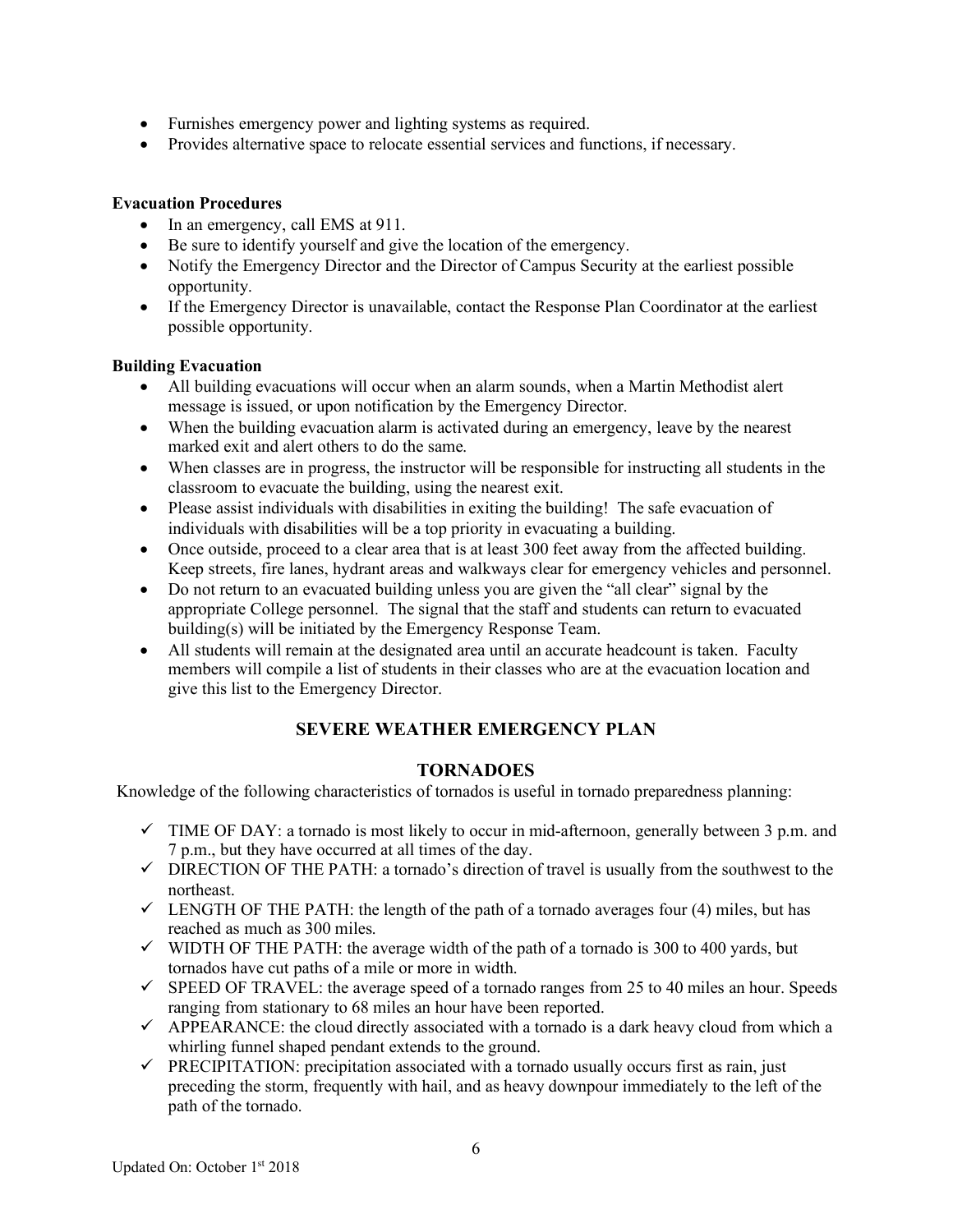- Furnishes emergency power and lighting systems as required.
- Provides alternative space to relocate essential services and functions, if necessary.

# **Evacuation Procedures**

- In an emergency, call EMS at 911.
- Be sure to identify yourself and give the location of the emergency.
- Notify the Emergency Director and the Director of Campus Security at the earliest possible opportunity.
- If the Emergency Director is unavailable, contact the Response Plan Coordinator at the earliest possible opportunity.

### **Building Evacuation**

- All building evacuations will occur when an alarm sounds, when a Martin Methodist alert message is issued, or upon notification by the Emergency Director.
- When the building evacuation alarm is activated during an emergency, leave by the nearest marked exit and alert others to do the same.
- When classes are in progress, the instructor will be responsible for instructing all students in the classroom to evacuate the building, using the nearest exit.
- Please assist individuals with disabilities in exiting the building! The safe evacuation of individuals with disabilities will be a top priority in evacuating a building.
- Once outside, proceed to a clear area that is at least 300 feet away from the affected building. Keep streets, fire lanes, hydrant areas and walkways clear for emergency vehicles and personnel.
- Do not return to an evacuated building unless you are given the "all clear" signal by the appropriate College personnel. The signal that the staff and students can return to evacuated building(s) will be initiated by the Emergency Response Team.
- All students will remain at the designated area until an accurate headcount is taken. Faculty members will compile a list of students in their classes who are at the evacuation location and give this list to the Emergency Director.

# **SEVERE WEATHER EMERGENCY PLAN**

# **TORNADOES**

Knowledge of the following characteristics of tornados is useful in tornado preparedness planning:

- $\checkmark$  TIME OF DAY: a tornado is most likely to occur in mid-afternoon, generally between 3 p.m. and 7 p.m., but they have occurred at all times of the day.
- $\checkmark$  DIRECTION OF THE PATH: a tornado's direction of travel is usually from the southwest to the northeast.
- $\checkmark$  LENGTH OF THE PATH: the length of the path of a tornado averages four (4) miles, but has reached as much as 300 miles.
- $\checkmark$  WIDTH OF THE PATH: the average width of the path of a tornado is 300 to 400 yards, but tornados have cut paths of a mile or more in width.
- $\checkmark$  SPEED OF TRAVEL: the average speed of a tornado ranges from 25 to 40 miles an hour. Speeds ranging from stationary to 68 miles an hour have been reported.
- $\checkmark$  APPEARANCE: the cloud directly associated with a tornado is a dark heavy cloud from which a whirling funnel shaped pendant extends to the ground.
- $\checkmark$  PRECIPITATION: precipitation associated with a tornado usually occurs first as rain, just preceding the storm, frequently with hail, and as heavy downpour immediately to the left of the path of the tornado.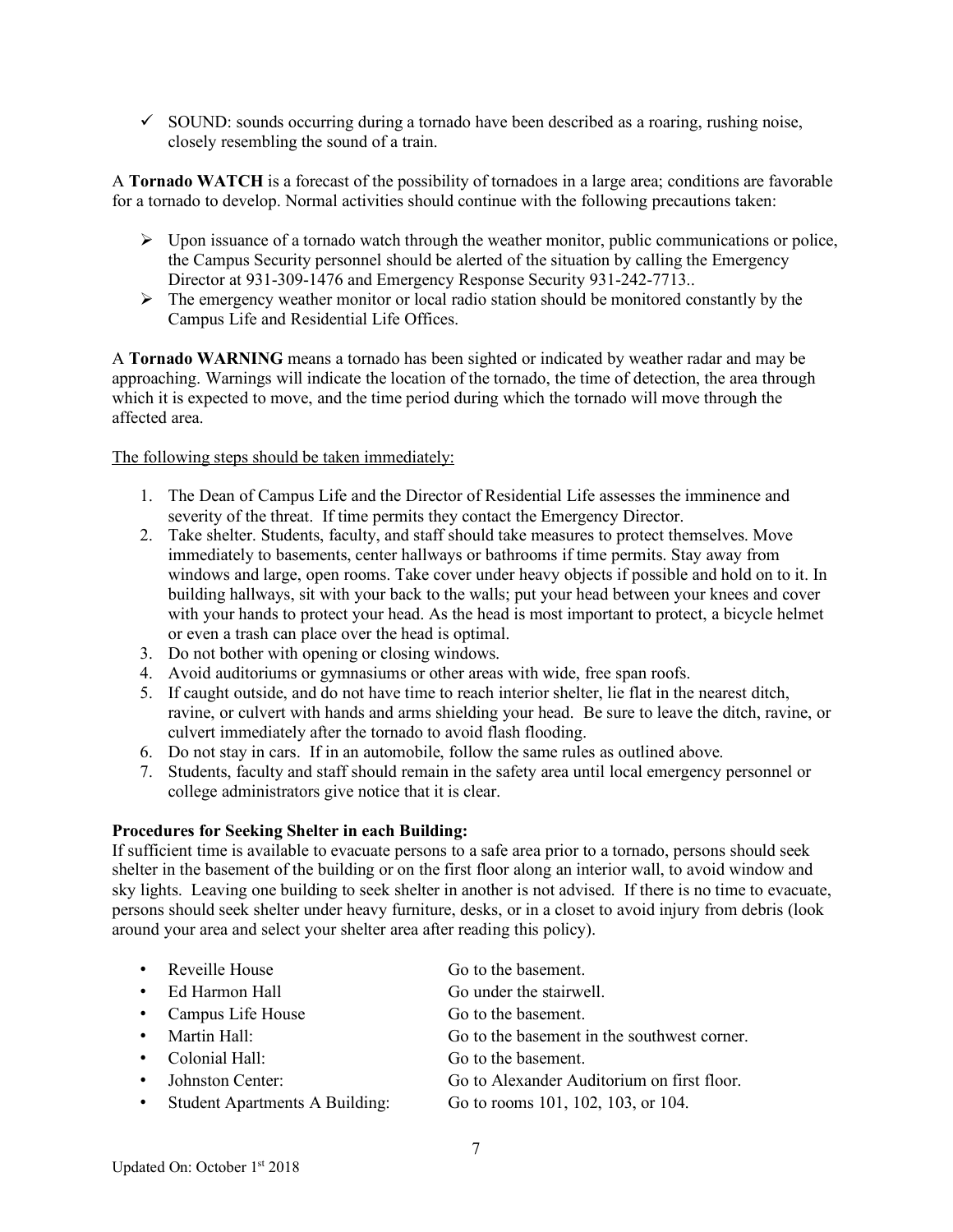$\checkmark$  SOUND: sounds occurring during a tornado have been described as a roaring, rushing noise, closely resembling the sound of a train.

A **Tornado WATCH** is a forecast of the possibility of tornadoes in a large area; conditions are favorable for a tornado to develop. Normal activities should continue with the following precautions taken:

- $\triangleright$  Upon issuance of a tornado watch through the weather monitor, public communications or police, the Campus Security personnel should be alerted of the situation by calling the Emergency Director at 931-309-1476 and Emergency Response Security 931-242-7713..
- $\triangleright$  The emergency weather monitor or local radio station should be monitored constantly by the Campus Life and Residential Life Offices.

A **Tornado WARNING** means a tornado has been sighted or indicated by weather radar and may be approaching. Warnings will indicate the location of the tornado, the time of detection, the area through which it is expected to move, and the time period during which the tornado will move through the affected area.

The following steps should be taken immediately:

- 1. The Dean of Campus Life and the Director of Residential Life assesses the imminence and severity of the threat. If time permits they contact the Emergency Director.
- 2. Take shelter. Students, faculty, and staff should take measures to protect themselves. Move immediately to basements, center hallways or bathrooms if time permits. Stay away from windows and large, open rooms. Take cover under heavy objects if possible and hold on to it. In building hallways, sit with your back to the walls; put your head between your knees and cover with your hands to protect your head. As the head is most important to protect, a bicycle helmet or even a trash can place over the head is optimal.
- 3. Do not bother with opening or closing windows.
- 4. Avoid auditoriums or gymnasiums or other areas with wide, free span roofs.
- 5. If caught outside, and do not have time to reach interior shelter, lie flat in the nearest ditch, ravine, or culvert with hands and arms shielding your head. Be sure to leave the ditch, ravine, or culvert immediately after the tornado to avoid flash flooding.
- 6. Do not stay in cars. If in an automobile, follow the same rules as outlined above.
- 7. Students, faculty and staff should remain in the safety area until local emergency personnel or college administrators give notice that it is clear.

# **Procedures for Seeking Shelter in each Building:**

If sufficient time is available to evacuate persons to a safe area prior to a tornado, persons should seek shelter in the basement of the building or on the first floor along an interior wall, to avoid window and sky lights. Leaving one building to seek shelter in another is not advised. If there is no time to evacuate, persons should seek shelter under heavy furniture, desks, or in a closet to avoid injury from debris (look around your area and select your shelter area after reading this policy).

| • Reveille House                 | Go to the basement.                         |
|----------------------------------|---------------------------------------------|
| • Ed Harmon Hall                 | Go under the stairwell.                     |
| • Campus Life House              | Go to the basement.                         |
| • Martin Hall:                   | Go to the basement in the southwest corner. |
| • Colonial Hall:                 | Go to the basement.                         |
| • Johnston Center:               | Go to Alexander Auditorium on first floor.  |
| • Student Apartments A Building: | Go to rooms 101, 102, 103, or 104.          |
|                                  |                                             |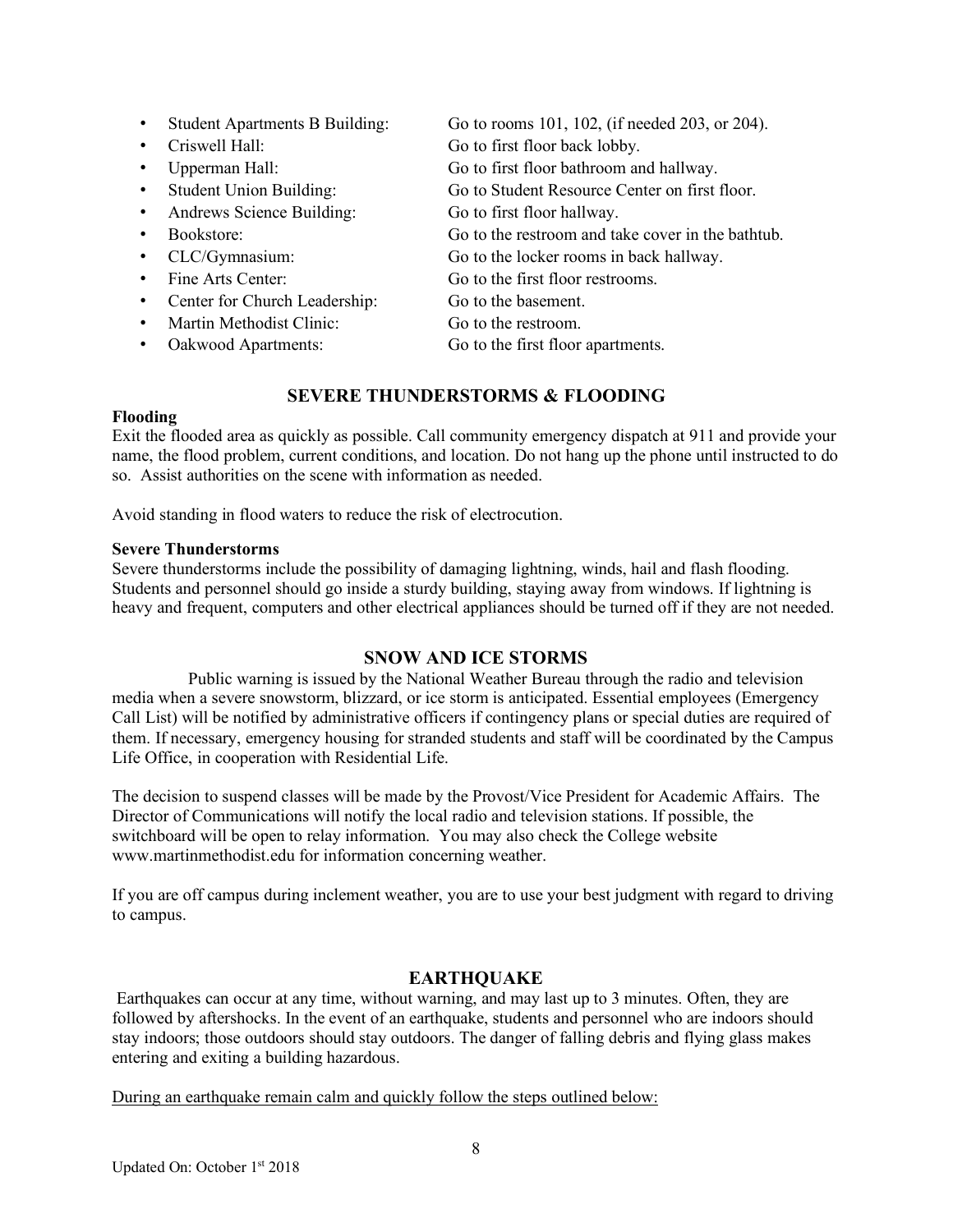| <b>Student Apartments B Building:</b> | Go to rooms 101, 102, (if needed 203, or 204).    |
|---------------------------------------|---------------------------------------------------|
| Criswell Hall:                        | Go to first floor back lobby.                     |
| Upperman Hall:                        | Go to first floor bathroom and hallway.           |
| <b>Student Union Building:</b>        | Go to Student Resource Center on first floor.     |
| Andrews Science Building:             | Go to first floor hallway.                        |
| Bookstore:                            | Go to the restroom and take cover in the bathtub. |
| CLC/Gymnasium:                        | Go to the locker rooms in back hallway.           |
| Fine Arts Center:                     | Go to the first floor restrooms.                  |
| Center for Church Leadership:         | Go to the basement.                               |
| Martin Methodist Clinic:              | Go to the restroom.                               |
| Oakwood Apartments:                   | Go to the first floor apartments.                 |
|                                       |                                                   |

# **SEVERE THUNDERSTORMS & FLOODING**

#### **Flooding**

Exit the flooded area as quickly as possible. Call community emergency dispatch at 911 and provide your name, the flood problem, current conditions, and location. Do not hang up the phone until instructed to do so. Assist authorities on the scene with information as needed.

Avoid standing in flood waters to reduce the risk of electrocution.

#### **Severe Thunderstorms**

Severe thunderstorms include the possibility of damaging lightning, winds, hail and flash flooding. Students and personnel should go inside a sturdy building, staying away from windows. If lightning is heavy and frequent, computers and other electrical appliances should be turned off if they are not needed.

#### **SNOW AND ICE STORMS**

Public warning is issued by the National Weather Bureau through the radio and television media when a severe snowstorm, blizzard, or ice storm is anticipated. Essential employees (Emergency Call List) will be notified by administrative officers if contingency plans or special duties are required of them. If necessary, emergency housing for stranded students and staff will be coordinated by the Campus Life Office, in cooperation with Residential Life.

The decision to suspend classes will be made by the Provost/Vice President for Academic Affairs. The Director of Communications will notify the local radio and television stations. If possible, the switchboard will be open to relay information. You may also check the College website www.martinmethodist.edu for information concerning weather.

If you are off campus during inclement weather, you are to use your best judgment with regard to driving to campus.

#### **EARTHQUAKE**

Earthquakes can occur at any time, without warning, and may last up to 3 minutes. Often, they are followed by aftershocks. In the event of an earthquake, students and personnel who are indoors should stay indoors; those outdoors should stay outdoors. The danger of falling debris and flying glass makes entering and exiting a building hazardous.

During an earthquake remain calm and quickly follow the steps outlined below: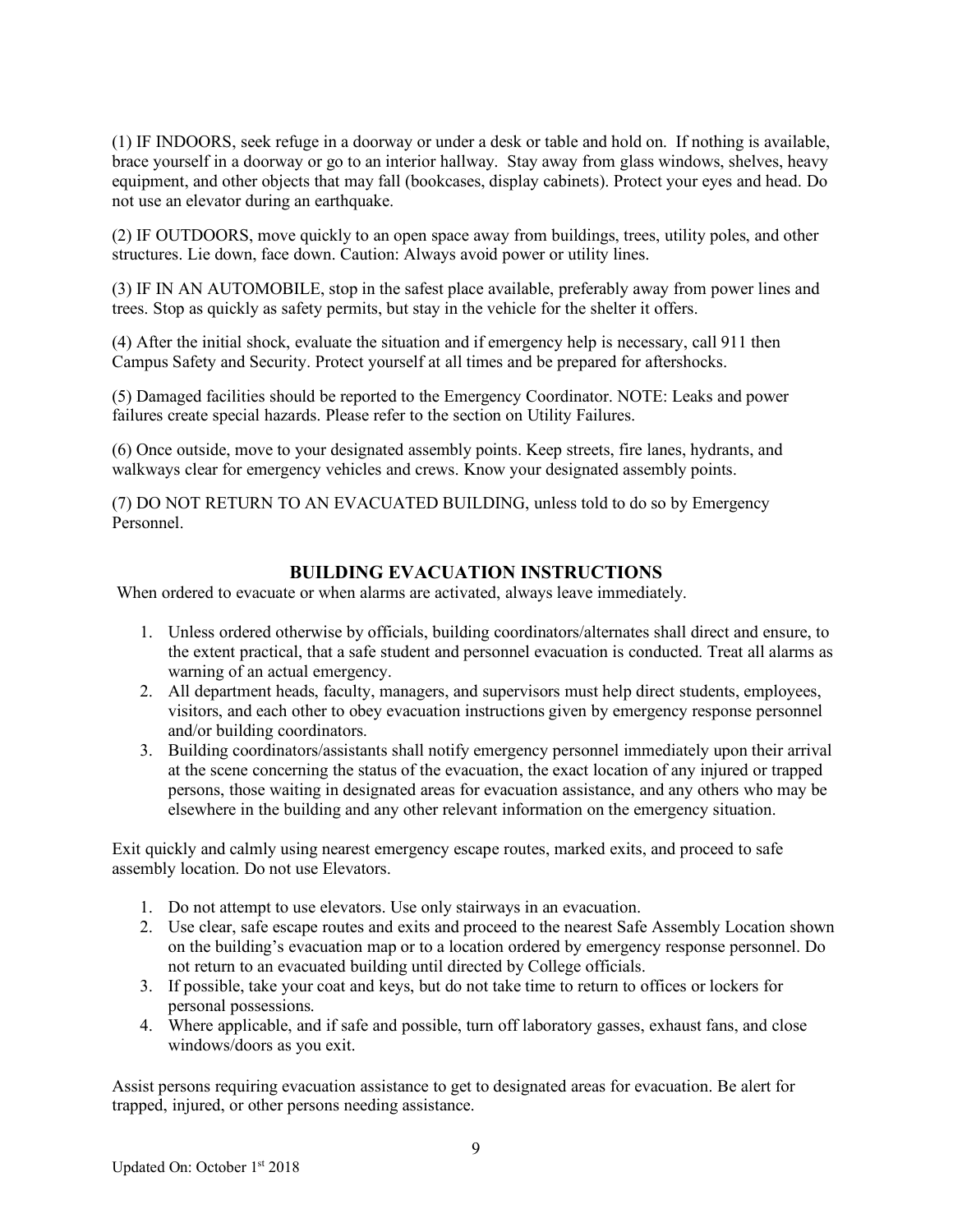(1) IF INDOORS, seek refuge in a doorway or under a desk or table and hold on. If nothing is available, brace yourself in a doorway or go to an interior hallway. Stay away from glass windows, shelves, heavy equipment, and other objects that may fall (bookcases, display cabinets). Protect your eyes and head. Do not use an elevator during an earthquake.

(2) IF OUTDOORS, move quickly to an open space away from buildings, trees, utility poles, and other structures. Lie down, face down. Caution: Always avoid power or utility lines.

(3) IF IN AN AUTOMOBILE, stop in the safest place available, preferably away from power lines and trees. Stop as quickly as safety permits, but stay in the vehicle for the shelter it offers.

(4) After the initial shock, evaluate the situation and if emergency help is necessary, call 911 then Campus Safety and Security. Protect yourself at all times and be prepared for aftershocks.

(5) Damaged facilities should be reported to the Emergency Coordinator. NOTE: Leaks and power failures create special hazards. Please refer to the section on Utility Failures.

(6) Once outside, move to your designated assembly points. Keep streets, fire lanes, hydrants, and walkways clear for emergency vehicles and crews. Know your designated assembly points.

(7) DO NOT RETURN TO AN EVACUATED BUILDING, unless told to do so by Emergency Personnel.

# **BUILDING EVACUATION INSTRUCTIONS**

When ordered to evacuate or when alarms are activated, always leave immediately.

- 1. Unless ordered otherwise by officials, building coordinators/alternates shall direct and ensure, to the extent practical, that a safe student and personnel evacuation is conducted. Treat all alarms as warning of an actual emergency.
- 2. All department heads, faculty, managers, and supervisors must help direct students, employees, visitors, and each other to obey evacuation instructions given by emergency response personnel and/or building coordinators.
- 3. Building coordinators/assistants shall notify emergency personnel immediately upon their arrival at the scene concerning the status of the evacuation, the exact location of any injured or trapped persons, those waiting in designated areas for evacuation assistance, and any others who may be elsewhere in the building and any other relevant information on the emergency situation.

Exit quickly and calmly using nearest emergency escape routes, marked exits, and proceed to safe assembly location. Do not use Elevators.

- 1. Do not attempt to use elevators. Use only stairways in an evacuation.
- 2. Use clear, safe escape routes and exits and proceed to the nearest Safe Assembly Location shown on the building's evacuation map or to a location ordered by emergency response personnel. Do not return to an evacuated building until directed by College officials.
- 3. If possible, take your coat and keys, but do not take time to return to offices or lockers for personal possessions.
- 4. Where applicable, and if safe and possible, turn off laboratory gasses, exhaust fans, and close windows/doors as you exit.

Assist persons requiring evacuation assistance to get to designated areas for evacuation. Be alert for trapped, injured, or other persons needing assistance.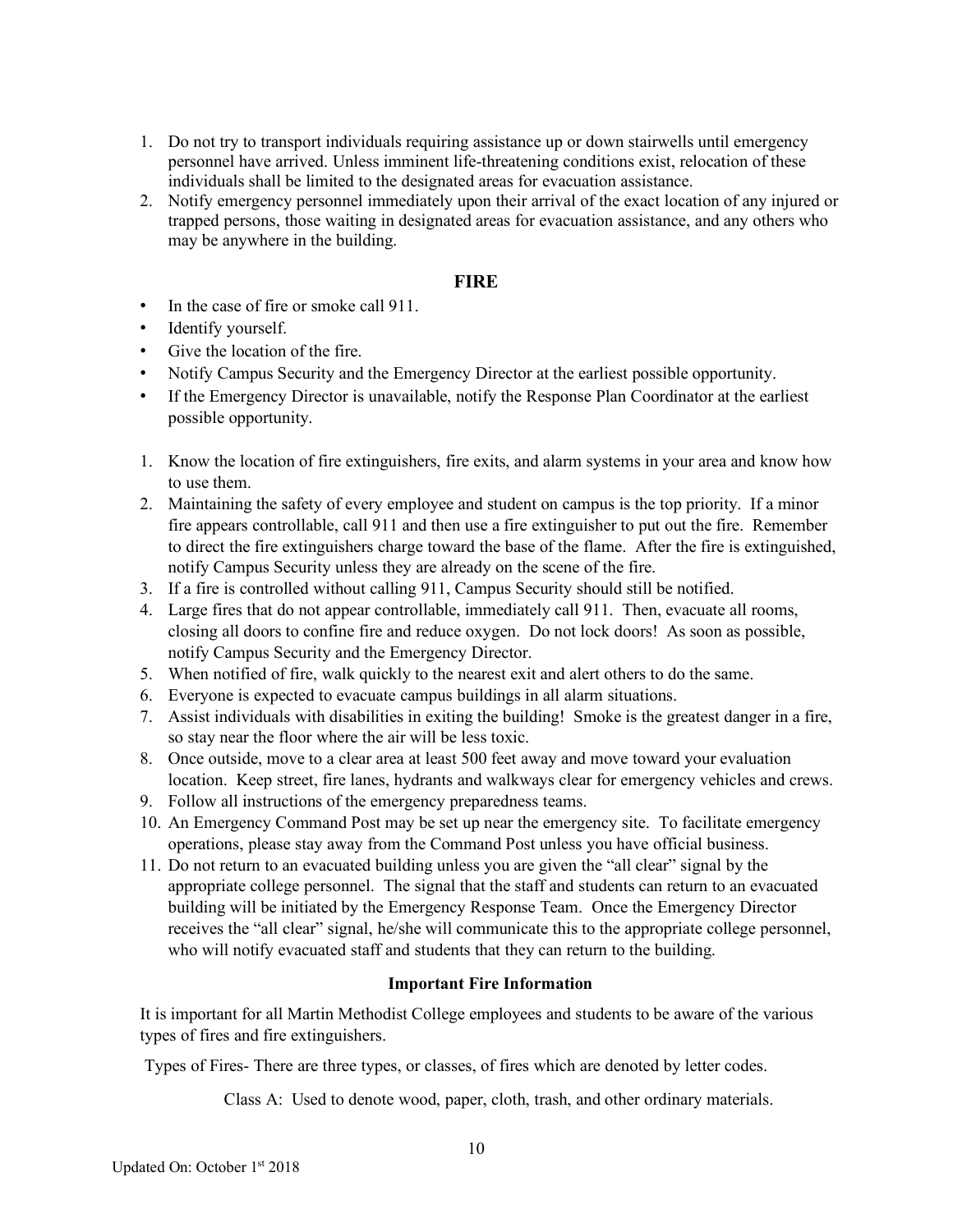- 1. Do not try to transport individuals requiring assistance up or down stairwells until emergency personnel have arrived. Unless imminent life-threatening conditions exist, relocation of these individuals shall be limited to the designated areas for evacuation assistance.
- 2. Notify emergency personnel immediately upon their arrival of the exact location of any injured or trapped persons, those waiting in designated areas for evacuation assistance, and any others who may be anywhere in the building.

#### **FIRE**

- In the case of fire or smoke call 911.
- Identify yourself.
- Give the location of the fire.
- Notify Campus Security and the Emergency Director at the earliest possible opportunity.
- If the Emergency Director is unavailable, notify the Response Plan Coordinator at the earliest possible opportunity.
- 1. Know the location of fire extinguishers, fire exits, and alarm systems in your area and know how to use them.
- 2. Maintaining the safety of every employee and student on campus is the top priority. If a minor fire appears controllable, call 911 and then use a fire extinguisher to put out the fire. Remember to direct the fire extinguishers charge toward the base of the flame. After the fire is extinguished, notify Campus Security unless they are already on the scene of the fire.
- 3. If a fire is controlled without calling 911, Campus Security should still be notified.
- 4. Large fires that do not appear controllable, immediately call 911. Then, evacuate all rooms, closing all doors to confine fire and reduce oxygen. Do not lock doors! As soon as possible, notify Campus Security and the Emergency Director.
- 5. When notified of fire, walk quickly to the nearest exit and alert others to do the same.
- 6. Everyone is expected to evacuate campus buildings in all alarm situations.
- 7. Assist individuals with disabilities in exiting the building! Smoke is the greatest danger in a fire, so stay near the floor where the air will be less toxic.
- 8. Once outside, move to a clear area at least 500 feet away and move toward your evaluation location. Keep street, fire lanes, hydrants and walkways clear for emergency vehicles and crews.
- 9. Follow all instructions of the emergency preparedness teams.
- 10. An Emergency Command Post may be set up near the emergency site. To facilitate emergency operations, please stay away from the Command Post unless you have official business.
- 11. Do not return to an evacuated building unless you are given the "all clear" signal by the appropriate college personnel. The signal that the staff and students can return to an evacuated building will be initiated by the Emergency Response Team. Once the Emergency Director receives the "all clear" signal, he/she will communicate this to the appropriate college personnel, who will notify evacuated staff and students that they can return to the building.

#### **Important Fire Information**

It is important for all Martin Methodist College employees and students to be aware of the various types of fires and fire extinguishers.

Types of Fires- There are three types, or classes, of fires which are denoted by letter codes.

Class A: Used to denote wood, paper, cloth, trash, and other ordinary materials.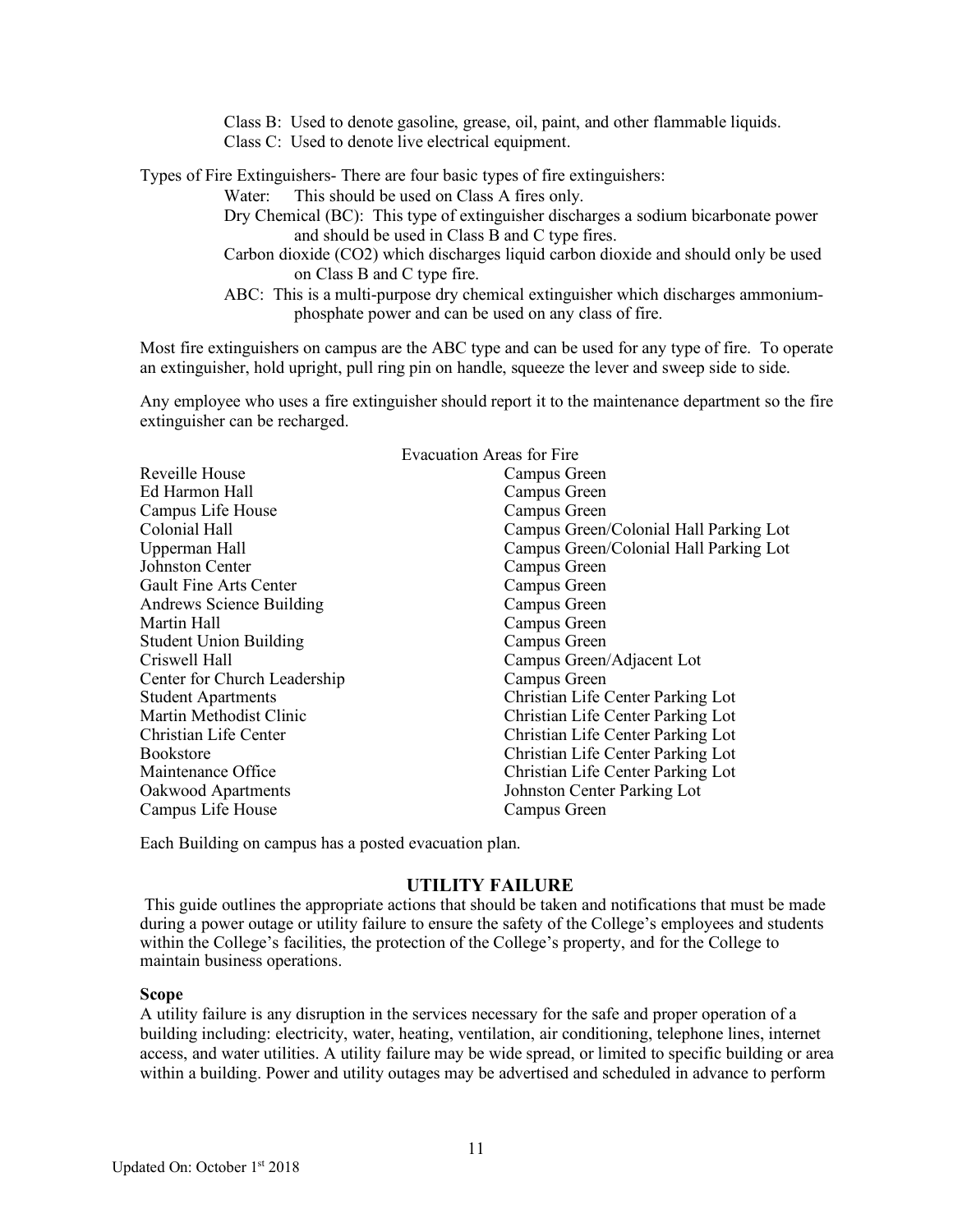Class B: Used to denote gasoline, grease, oil, paint, and other flammable liquids. Class C: Used to denote live electrical equipment.

Types of Fire Extinguishers- There are four basic types of fire extinguishers:

Water: This should be used on Class A fires only.

- Dry Chemical (BC): This type of extinguisher discharges a sodium bicarbonate power and should be used in Class B and C type fires.
- Carbon dioxide (CO2) which discharges liquid carbon dioxide and should only be used on Class B and C type fire.
- ABC: This is a multi-purpose dry chemical extinguisher which discharges ammoniumphosphate power and can be used on any class of fire.

Most fire extinguishers on campus are the ABC type and can be used for any type of fire. To operate an extinguisher, hold upright, pull ring pin on handle, squeeze the lever and sweep side to side.

Any employee who uses a fire extinguisher should report it to the maintenance department so the fire extinguisher can be recharged.

|                               | <b>Evacuation Areas for Fire</b>       |  |  |
|-------------------------------|----------------------------------------|--|--|
| Reveille House                | Campus Green                           |  |  |
| Ed Harmon Hall                | Campus Green                           |  |  |
| Campus Life House             | Campus Green                           |  |  |
| Colonial Hall                 | Campus Green/Colonial Hall Parking Lot |  |  |
| Upperman Hall                 | Campus Green/Colonial Hall Parking Lot |  |  |
| Johnston Center               | Campus Green                           |  |  |
| <b>Gault Fine Arts Center</b> | Campus Green                           |  |  |
| Andrews Science Building      | Campus Green                           |  |  |
| Martin Hall                   | Campus Green                           |  |  |
| <b>Student Union Building</b> | Campus Green                           |  |  |
| Criswell Hall                 | Campus Green/Adjacent Lot              |  |  |
| Center for Church Leadership  | Campus Green                           |  |  |
| <b>Student Apartments</b>     | Christian Life Center Parking Lot      |  |  |
| Martin Methodist Clinic       | Christian Life Center Parking Lot      |  |  |
| Christian Life Center         | Christian Life Center Parking Lot      |  |  |
| <b>Bookstore</b>              | Christian Life Center Parking Lot      |  |  |
| Maintenance Office            | Christian Life Center Parking Lot      |  |  |
| Oakwood Apartments            | Johnston Center Parking Lot            |  |  |
| Campus Life House             | Campus Green                           |  |  |

Each Building on campus has a posted evacuation plan.

#### **UTILITY FAILURE**

This guide outlines the appropriate actions that should be taken and notifications that must be made during a power outage or utility failure to ensure the safety of the College's employees and students within the College's facilities, the protection of the College's property, and for the College to maintain business operations.

#### **Scope**

A utility failure is any disruption in the services necessary for the safe and proper operation of a building including: electricity, water, heating, ventilation, air conditioning, telephone lines, internet access, and water utilities. A utility failure may be wide spread, or limited to specific building or area within a building. Power and utility outages may be advertised and scheduled in advance to perform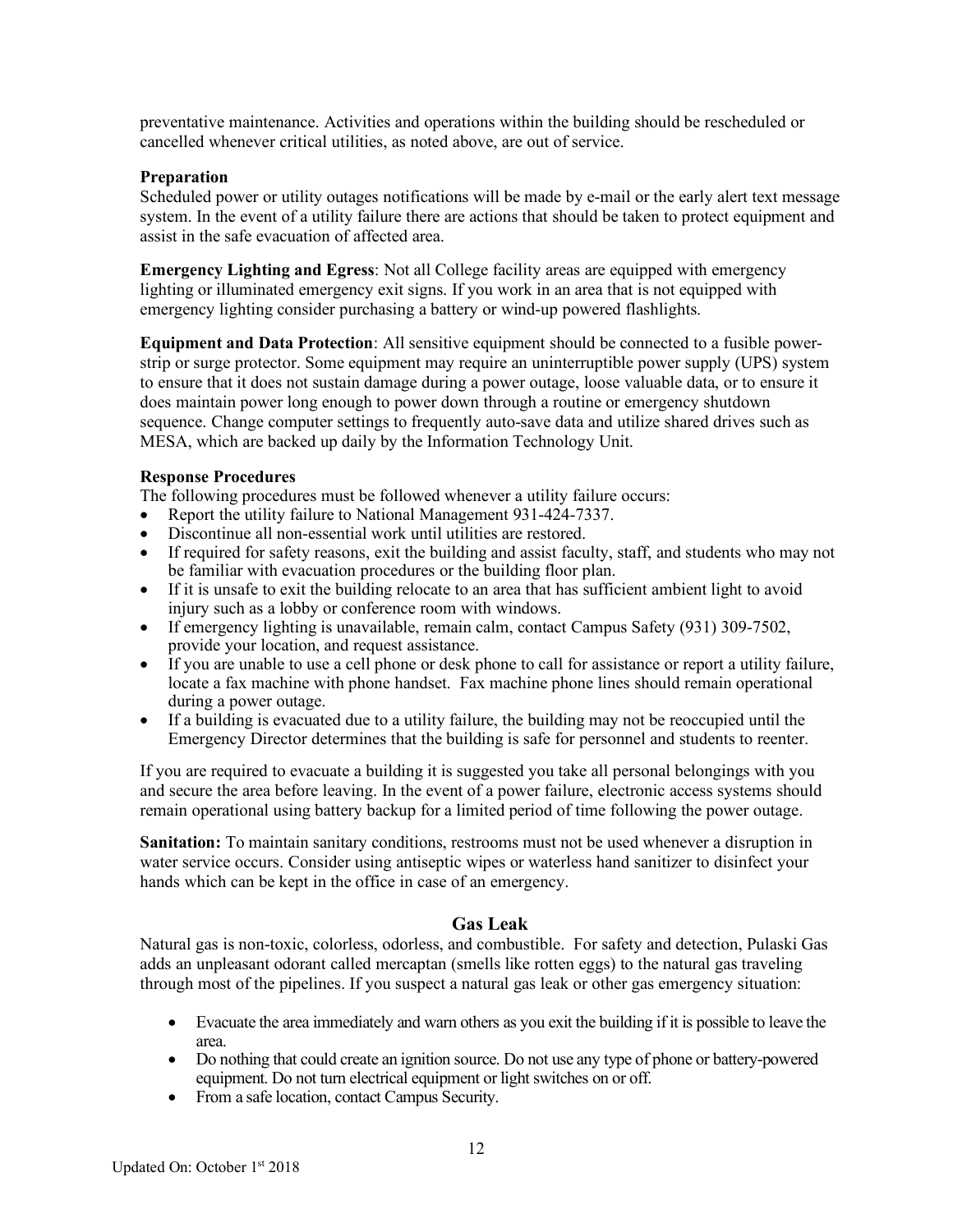preventative maintenance. Activities and operations within the building should be rescheduled or cancelled whenever critical utilities, as noted above, are out of service.

#### **Preparation**

Scheduled power or utility outages notifications will be made by e-mail or the early alert text message system. In the event of a utility failure there are actions that should be taken to protect equipment and assist in the safe evacuation of affected area.

**Emergency Lighting and Egress**: Not all College facility areas are equipped with emergency lighting or illuminated emergency exit signs. If you work in an area that is not equipped with emergency lighting consider purchasing a battery or wind-up powered flashlights.

**Equipment and Data Protection**: All sensitive equipment should be connected to a fusible powerstrip or surge protector. Some equipment may require an uninterruptible power supply (UPS) system to ensure that it does not sustain damage during a power outage, loose valuable data, or to ensure it does maintain power long enough to power down through a routine or emergency shutdown sequence. Change computer settings to frequently auto-save data and utilize shared drives such as MESA, which are backed up daily by the Information Technology Unit.

#### **Response Procedures**

The following procedures must be followed whenever a utility failure occurs:

- Report the utility failure to National Management 931-424-7337.
- Discontinue all non-essential work until utilities are restored.
- If required for safety reasons, exit the building and assist faculty, staff, and students who may not be familiar with evacuation procedures or the building floor plan.
- If it is unsafe to exit the building relocate to an area that has sufficient ambient light to avoid injury such as a lobby or conference room with windows.
- If emergency lighting is unavailable, remain calm, contact Campus Safety (931) 309-7502, provide your location, and request assistance.
- If you are unable to use a cell phone or desk phone to call for assistance or report a utility failure, locate a fax machine with phone handset. Fax machine phone lines should remain operational during a power outage.
- If a building is evacuated due to a utility failure, the building may not be reoccupied until the Emergency Director determines that the building is safe for personnel and students to reenter.

If you are required to evacuate a building it is suggested you take all personal belongings with you and secure the area before leaving. In the event of a power failure, electronic access systems should remain operational using battery backup for a limited period of time following the power outage.

**Sanitation:** To maintain sanitary conditions, restrooms must not be used whenever a disruption in water service occurs. Consider using antiseptic wipes or waterless hand sanitizer to disinfect your hands which can be kept in the office in case of an emergency.

#### **Gas Leak**

Natural gas is non-toxic, colorless, odorless, and combustible. For safety and detection, Pulaski Gas adds an unpleasant odorant called mercaptan (smells like rotten eggs) to the natural gas traveling through most of the pipelines. If you suspect a natural gas leak or other gas emergency situation:

- Evacuate the area immediately and warn others as you exit the building if it is possible to leave the area.
- Do nothing that could create an ignition source. Do not use any type of phone or battery-powered equipment. Do not turn electrical equipment or light switches on or off.
- From a safe location, contact Campus Security.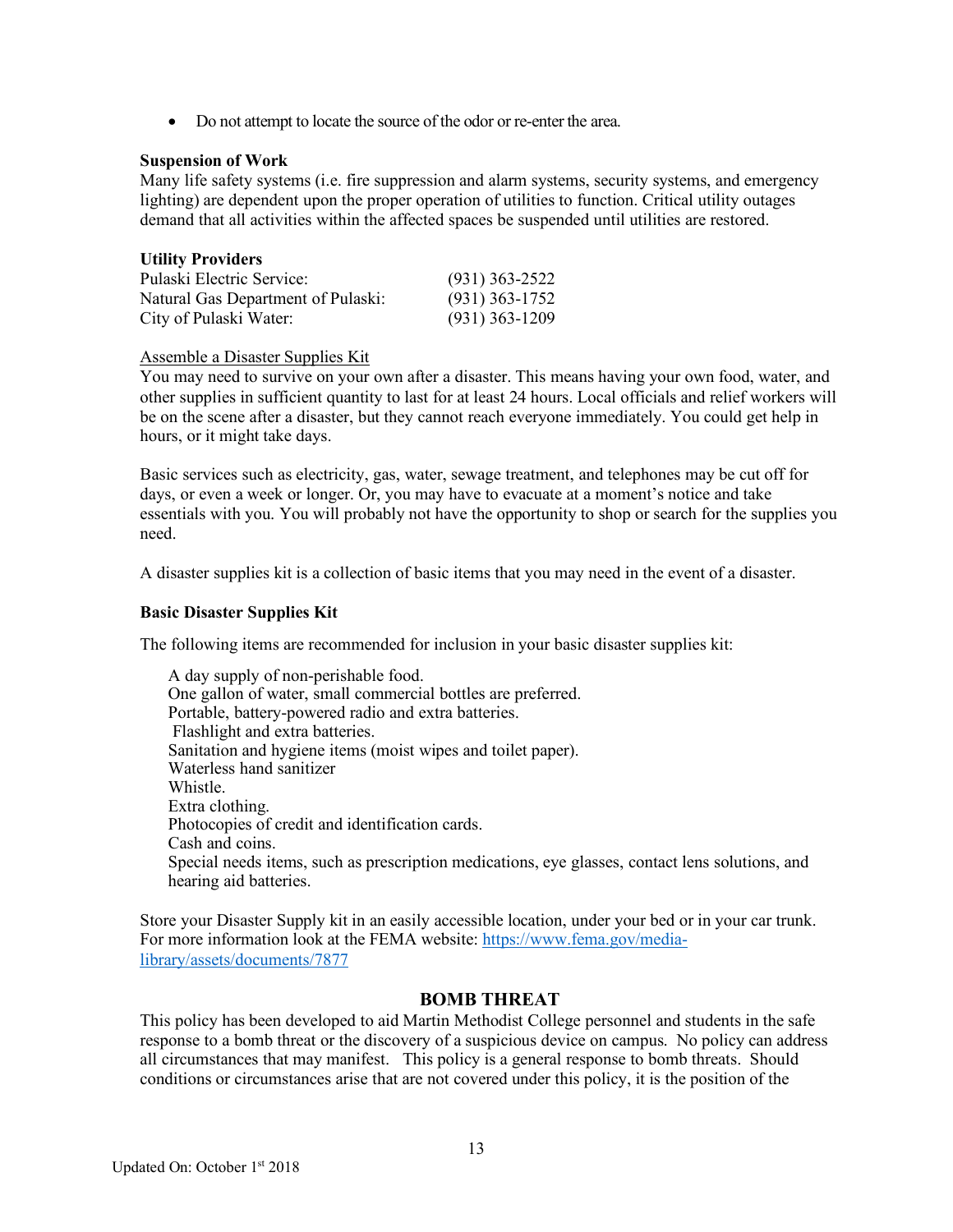• Do not attempt to locate the source of the odor or re-enter the area.

#### **Suspension of Work**

Many life safety systems (i.e. fire suppression and alarm systems, security systems, and emergency lighting) are dependent upon the proper operation of utilities to function. Critical utility outages demand that all activities within the affected spaces be suspended until utilities are restored.

| <b>Utility Providers</b>           |                  |
|------------------------------------|------------------|
| Pulaski Electric Service:          | $(931)$ 363-2522 |
| Natural Gas Department of Pulaski: | $(931)$ 363-1752 |
| City of Pulaski Water:             | $(931)$ 363-1209 |

#### Assemble a Disaster Supplies Kit

You may need to survive on your own after a disaster. This means having your own food, water, and other supplies in sufficient quantity to last for at least 24 hours. Local officials and relief workers will be on the scene after a disaster, but they cannot reach everyone immediately. You could get help in hours, or it might take days.

Basic services such as electricity, gas, water, sewage treatment, and telephones may be cut off for days, or even a week or longer. Or, you may have to evacuate at a moment's notice and take essentials with you. You will probably not have the opportunity to shop or search for the supplies you need.

A disaster supplies kit is a collection of basic items that you may need in the event of a disaster.

#### **Basic Disaster Supplies Kit**

The following items are recommended for inclusion in your basic disaster supplies kit:

 A day supply of non-perishable food. One gallon of water, small commercial bottles are preferred. Portable, battery-powered radio and extra batteries. Flashlight and extra batteries. Sanitation and hygiene items (moist wipes and toilet paper). Waterless hand sanitizer Whistle. Extra clothing. Photocopies of credit and identification cards. Cash and coins. Special needs items, such as prescription medications, eye glasses, contact lens solutions, and hearing aid batteries.

Store your Disaster Supply kit in an easily accessible location, under your bed or in your car trunk. For more information look at the FEMA website: https://www.fema.gov/medialibrary/assets/documents/7877

#### **BOMB THREAT**

This policy has been developed to aid Martin Methodist College personnel and students in the safe response to a bomb threat or the discovery of a suspicious device on campus. No policy can address all circumstances that may manifest. This policy is a general response to bomb threats. Should conditions or circumstances arise that are not covered under this policy, it is the position of the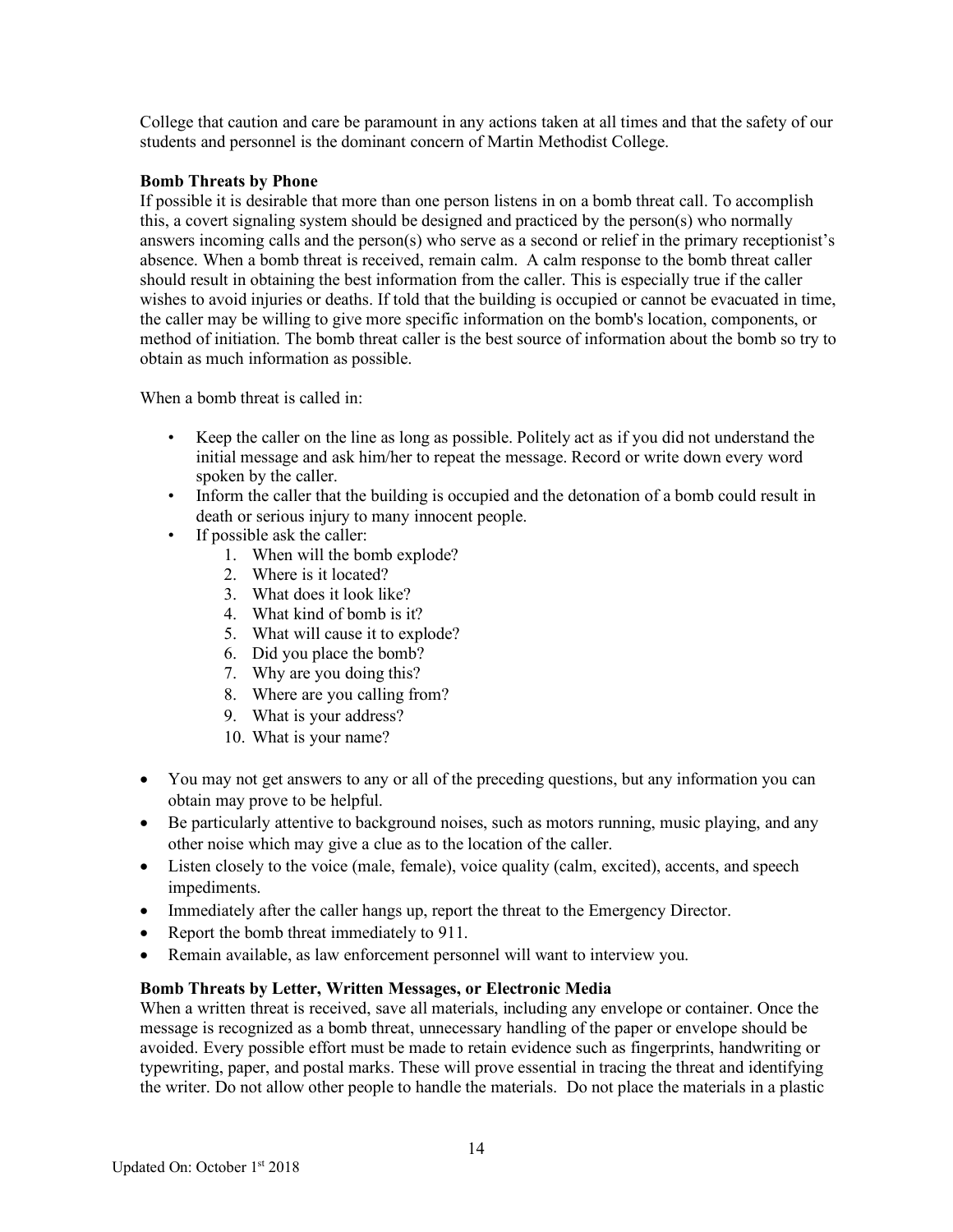College that caution and care be paramount in any actions taken at all times and that the safety of our students and personnel is the dominant concern of Martin Methodist College.

#### **Bomb Threats by Phone**

If possible it is desirable that more than one person listens in on a bomb threat call. To accomplish this, a covert signaling system should be designed and practiced by the person(s) who normally answers incoming calls and the person(s) who serve as a second or relief in the primary receptionist's absence. When a bomb threat is received, remain calm. A calm response to the bomb threat caller should result in obtaining the best information from the caller. This is especially true if the caller wishes to avoid injuries or deaths. If told that the building is occupied or cannot be evacuated in time, the caller may be willing to give more specific information on the bomb's location, components, or method of initiation. The bomb threat caller is the best source of information about the bomb so try to obtain as much information as possible.

When a bomb threat is called in:

- Keep the caller on the line as long as possible. Politely act as if you did not understand the initial message and ask him/her to repeat the message. Record or write down every word spoken by the caller.
- Inform the caller that the building is occupied and the detonation of a bomb could result in death or serious injury to many innocent people.
- If possible ask the caller:
	- 1. When will the bomb explode?
	- 2. Where is it located?
	- 3. What does it look like?
	- 4. What kind of bomb is it?
	- 5. What will cause it to explode?
	- 6. Did you place the bomb?
	- 7. Why are you doing this?
	- 8. Where are you calling from?
	- 9. What is your address?
	- 10. What is your name?
- You may not get answers to any or all of the preceding questions, but any information you can obtain may prove to be helpful.
- Be particularly attentive to background noises, such as motors running, music playing, and any other noise which may give a clue as to the location of the caller.
- Listen closely to the voice (male, female), voice quality (calm, excited), accents, and speech impediments.
- Immediately after the caller hangs up, report the threat to the Emergency Director.
- Report the bomb threat immediately to 911.
- Remain available, as law enforcement personnel will want to interview you.

#### **Bomb Threats by Letter, Written Messages, or Electronic Media**

When a written threat is received, save all materials, including any envelope or container. Once the message is recognized as a bomb threat, unnecessary handling of the paper or envelope should be avoided. Every possible effort must be made to retain evidence such as fingerprints, handwriting or typewriting, paper, and postal marks. These will prove essential in tracing the threat and identifying the writer. Do not allow other people to handle the materials. Do not place the materials in a plastic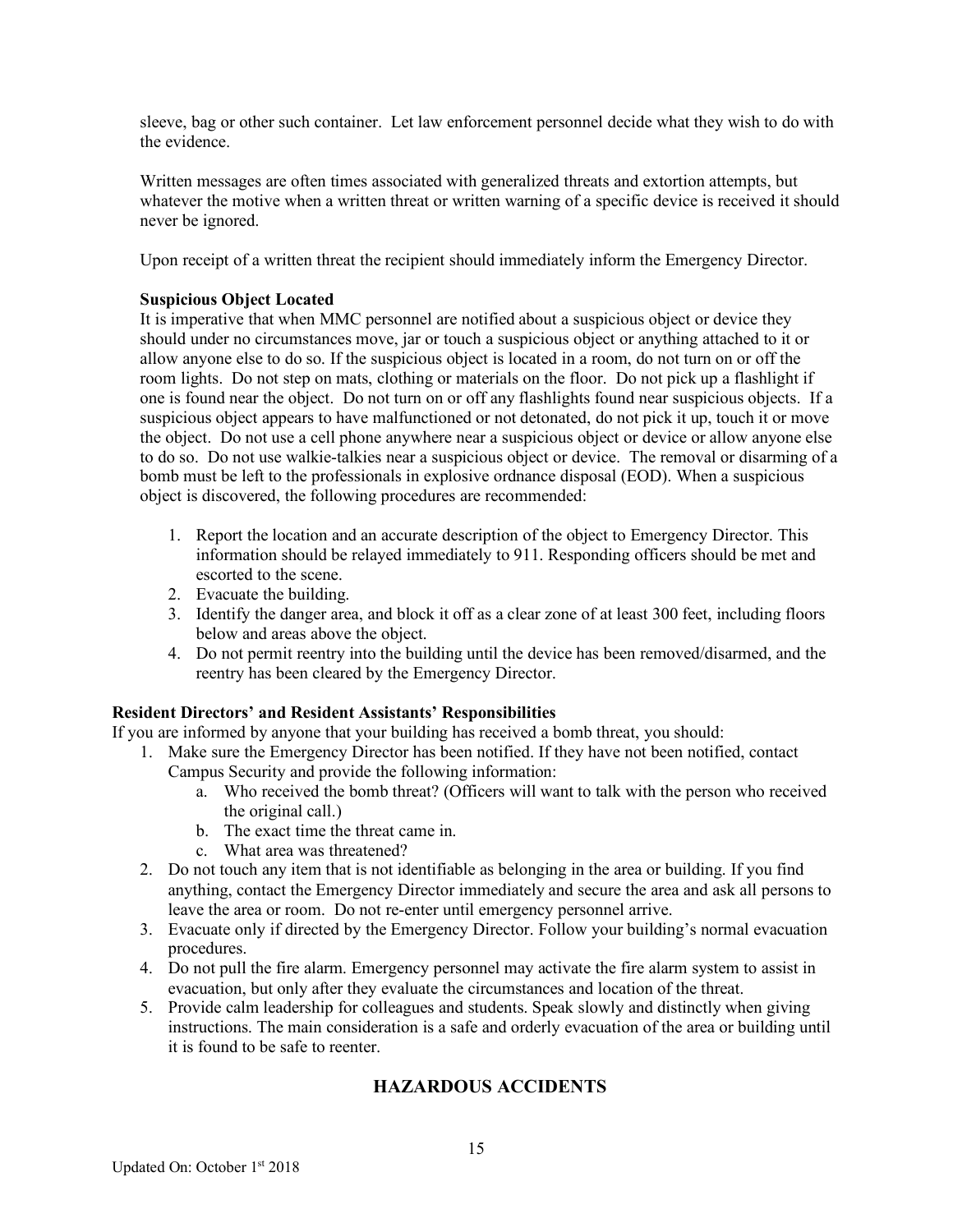sleeve, bag or other such container. Let law enforcement personnel decide what they wish to do with the evidence.

Written messages are often times associated with generalized threats and extortion attempts, but whatever the motive when a written threat or written warning of a specific device is received it should never be ignored.

Upon receipt of a written threat the recipient should immediately inform the Emergency Director.

### **Suspicious Object Located**

It is imperative that when MMC personnel are notified about a suspicious object or device they should under no circumstances move, jar or touch a suspicious object or anything attached to it or allow anyone else to do so. If the suspicious object is located in a room, do not turn on or off the room lights. Do not step on mats, clothing or materials on the floor. Do not pick up a flashlight if one is found near the object. Do not turn on or off any flashlights found near suspicious objects. If a suspicious object appears to have malfunctioned or not detonated, do not pick it up, touch it or move the object. Do not use a cell phone anywhere near a suspicious object or device or allow anyone else to do so. Do not use walkie-talkies near a suspicious object or device. The removal or disarming of a bomb must be left to the professionals in explosive ordnance disposal (EOD). When a suspicious object is discovered, the following procedures are recommended:

- 1. Report the location and an accurate description of the object to Emergency Director. This information should be relayed immediately to 911. Responding officers should be met and escorted to the scene.
- 2. Evacuate the building.
- 3. Identify the danger area, and block it off as a clear zone of at least 300 feet, including floors below and areas above the object.
- 4. Do not permit reentry into the building until the device has been removed/disarmed, and the reentry has been cleared by the Emergency Director.

#### **Resident Directors' and Resident Assistants' Responsibilities**

If you are informed by anyone that your building has received a bomb threat, you should:

- 1. Make sure the Emergency Director has been notified. If they have not been notified, contact Campus Security and provide the following information:
	- a. Who received the bomb threat? (Officers will want to talk with the person who received the original call.)
	- b. The exact time the threat came in.
	- c. What area was threatened?
- 2. Do not touch any item that is not identifiable as belonging in the area or building. If you find anything, contact the Emergency Director immediately and secure the area and ask all persons to leave the area or room. Do not re-enter until emergency personnel arrive.
- 3. Evacuate only if directed by the Emergency Director. Follow your building's normal evacuation procedures.
- 4. Do not pull the fire alarm. Emergency personnel may activate the fire alarm system to assist in evacuation, but only after they evaluate the circumstances and location of the threat.
- 5. Provide calm leadership for colleagues and students. Speak slowly and distinctly when giving instructions. The main consideration is a safe and orderly evacuation of the area or building until it is found to be safe to reenter.

# **HAZARDOUS ACCIDENTS**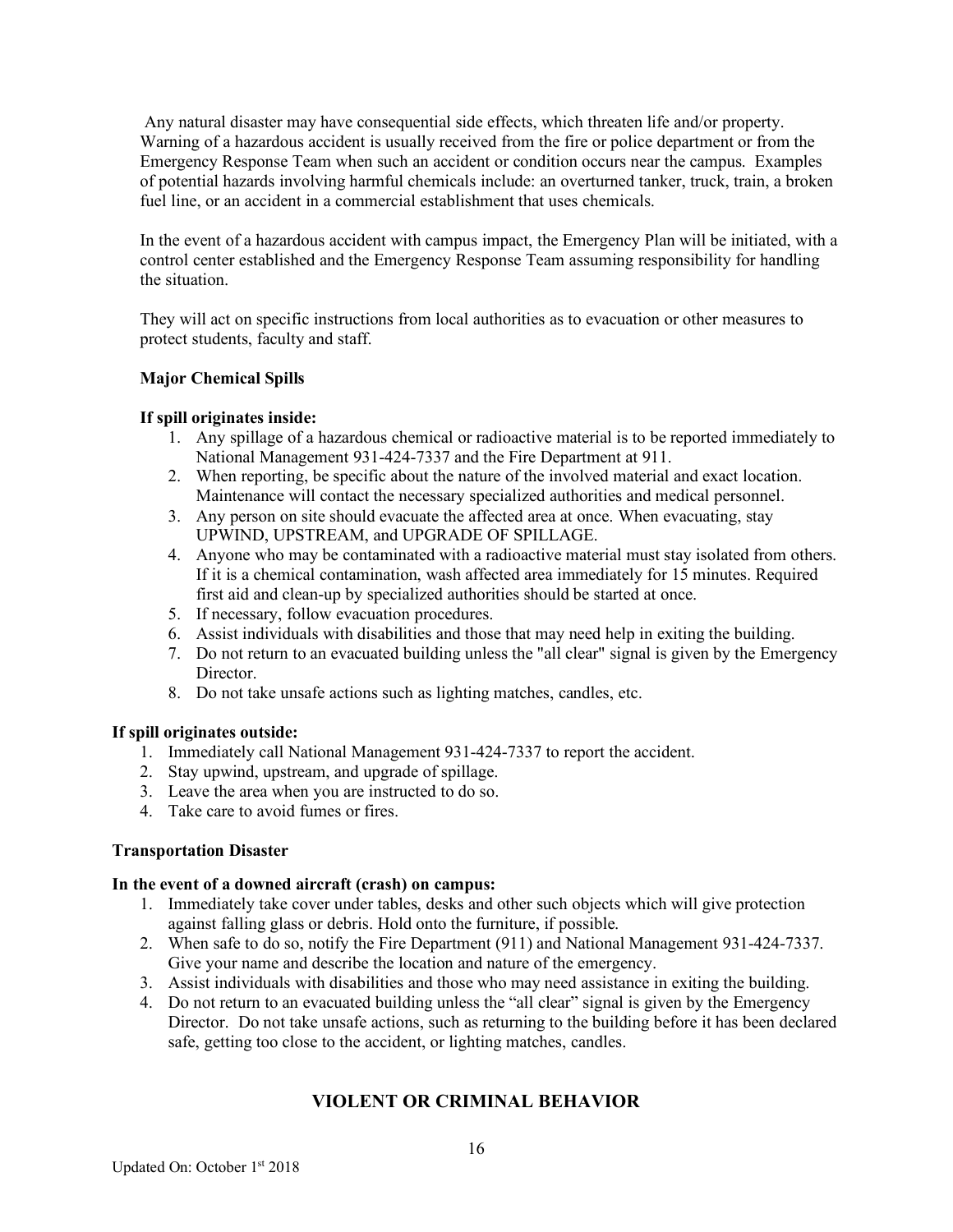Any natural disaster may have consequential side effects, which threaten life and/or property. Warning of a hazardous accident is usually received from the fire or police department or from the Emergency Response Team when such an accident or condition occurs near the campus. Examples of potential hazards involving harmful chemicals include: an overturned tanker, truck, train, a broken fuel line, or an accident in a commercial establishment that uses chemicals.

In the event of a hazardous accident with campus impact, the Emergency Plan will be initiated, with a control center established and the Emergency Response Team assuming responsibility for handling the situation.

They will act on specific instructions from local authorities as to evacuation or other measures to protect students, faculty and staff.

### **Major Chemical Spills**

#### **If spill originates inside:**

- 1. Any spillage of a hazardous chemical or radioactive material is to be reported immediately to National Management 931-424-7337 and the Fire Department at 911.
- 2. When reporting, be specific about the nature of the involved material and exact location. Maintenance will contact the necessary specialized authorities and medical personnel.
- 3. Any person on site should evacuate the affected area at once. When evacuating, stay UPWIND, UPSTREAM, and UPGRADE OF SPILLAGE.
- 4. Anyone who may be contaminated with a radioactive material must stay isolated from others. If it is a chemical contamination, wash affected area immediately for 15 minutes. Required first aid and clean-up by specialized authorities should be started at once.
- 5. If necessary, follow evacuation procedures.
- 6. Assist individuals with disabilities and those that may need help in exiting the building.
- 7. Do not return to an evacuated building unless the "all clear" signal is given by the Emergency Director.
- 8. Do not take unsafe actions such as lighting matches, candles, etc.

#### **If spill originates outside:**

- 1. Immediately call National Management 931-424-7337 to report the accident.
- 2. Stay upwind, upstream, and upgrade of spillage.
- 3. Leave the area when you are instructed to do so.
- 4. Take care to avoid fumes or fires.

#### **Transportation Disaster**

#### **In the event of a downed aircraft (crash) on campus:**

- 1. Immediately take cover under tables, desks and other such objects which will give protection against falling glass or debris. Hold onto the furniture, if possible.
- 2. When safe to do so, notify the Fire Department (911) and National Management 931-424-7337. Give your name and describe the location and nature of the emergency.
- 3. Assist individuals with disabilities and those who may need assistance in exiting the building.
- 4. Do not return to an evacuated building unless the "all clear" signal is given by the Emergency Director. Do not take unsafe actions, such as returning to the building before it has been declared safe, getting too close to the accident, or lighting matches, candles.

# **VIOLENT OR CRIMINAL BEHAVIOR**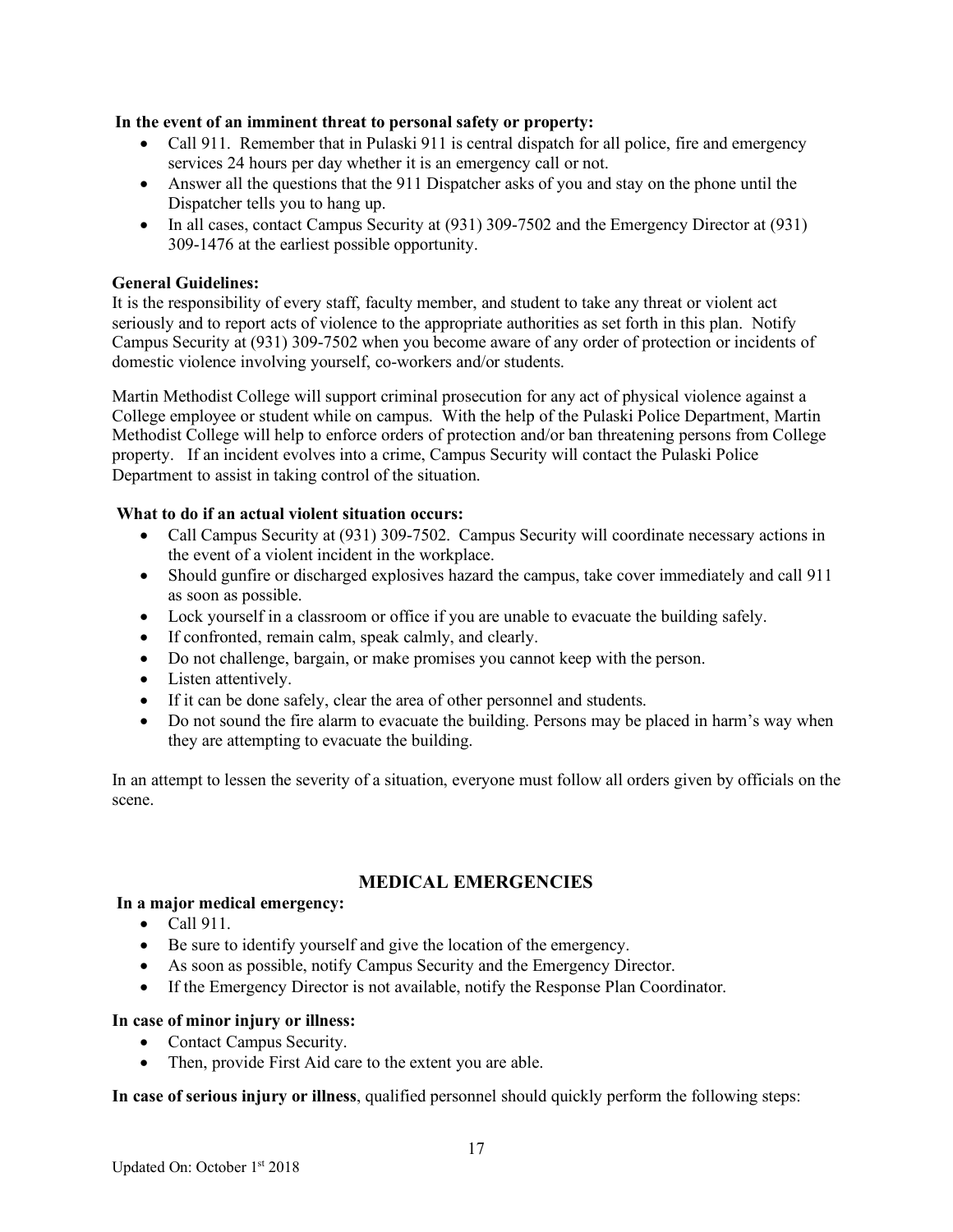#### **In the event of an imminent threat to personal safety or property:**

- Call 911. Remember that in Pulaski 911 is central dispatch for all police, fire and emergency services 24 hours per day whether it is an emergency call or not.
- Answer all the questions that the 911 Dispatcher asks of you and stay on the phone until the Dispatcher tells you to hang up.
- In all cases, contact Campus Security at (931) 309-7502 and the Emergency Director at (931) 309-1476 at the earliest possible opportunity.

### **General Guidelines:**

It is the responsibility of every staff, faculty member, and student to take any threat or violent act seriously and to report acts of violence to the appropriate authorities as set forth in this plan. Notify Campus Security at (931) 309-7502 when you become aware of any order of protection or incidents of domestic violence involving yourself, co-workers and/or students.

Martin Methodist College will support criminal prosecution for any act of physical violence against a College employee or student while on campus. With the help of the Pulaski Police Department, Martin Methodist College will help to enforce orders of protection and/or ban threatening persons from College property. If an incident evolves into a crime, Campus Security will contact the Pulaski Police Department to assist in taking control of the situation.

### **What to do if an actual violent situation occurs:**

- Call Campus Security at (931) 309-7502. Campus Security will coordinate necessary actions in the event of a violent incident in the workplace.
- Should gunfire or discharged explosives hazard the campus, take cover immediately and call 911 as soon as possible.
- Lock yourself in a classroom or office if you are unable to evacuate the building safely.
- If confronted, remain calm, speak calmly, and clearly.
- Do not challenge, bargain, or make promises you cannot keep with the person.
- Listen attentively.
- If it can be done safely, clear the area of other personnel and students.
- Do not sound the fire alarm to evacuate the building. Persons may be placed in harm's way when they are attempting to evacuate the building.

In an attempt to lessen the severity of a situation, everyone must follow all orders given by officials on the scene.

# **MEDICAL EMERGENCIES**

#### **In a major medical emergency:**

- Call 911.
- Be sure to identify yourself and give the location of the emergency.
- As soon as possible, notify Campus Security and the Emergency Director.
- If the Emergency Director is not available, notify the Response Plan Coordinator.

#### **In case of minor injury or illness:**

- Contact Campus Security.
- Then, provide First Aid care to the extent you are able.

**In case of serious injury or illness**, qualified personnel should quickly perform the following steps: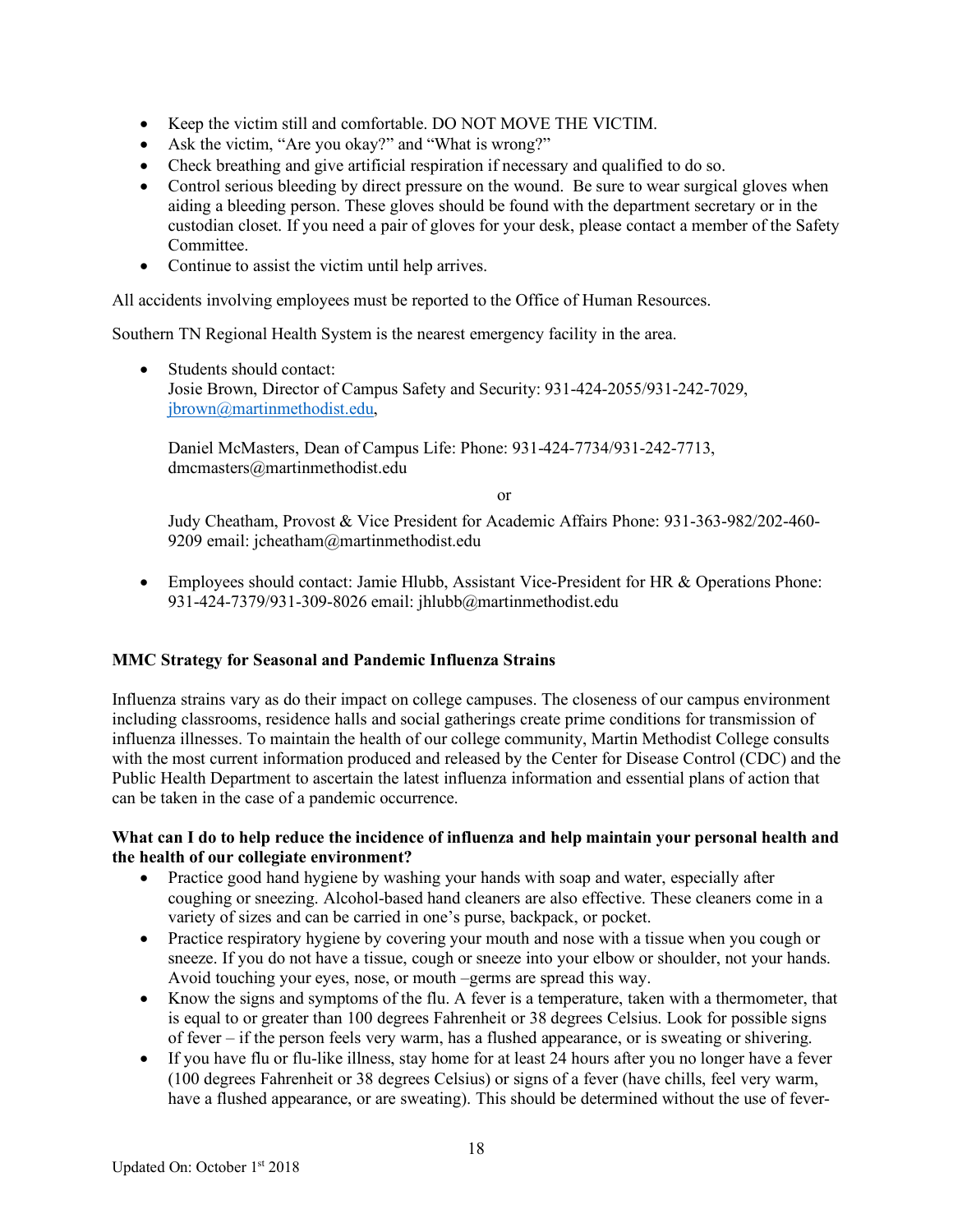- Keep the victim still and comfortable. DO NOT MOVE THE VICTIM.
- Ask the victim, "Are you okay?" and "What is wrong?"
- Check breathing and give artificial respiration if necessary and qualified to do so.
- Control serious bleeding by direct pressure on the wound. Be sure to wear surgical gloves when aiding a bleeding person. These gloves should be found with the department secretary or in the custodian closet. If you need a pair of gloves for your desk, please contact a member of the Safety Committee.
- Continue to assist the victim until help arrives.

All accidents involving employees must be reported to the Office of Human Resources.

Southern TN Regional Health System is the nearest emergency facility in the area.

• Students should contact: Josie Brown, Director of Campus Safety and Security: 931-424-2055/931-242-7029, jbrown@martinmethodist.edu,

Daniel McMasters, Dean of Campus Life: Phone: 931-424-7734/931-242-7713, dmcmasters@martinmethodist.edu

or

Judy Cheatham, Provost & Vice President for Academic Affairs Phone: 931-363-982/202-460- 9209 email: jcheatham@martinmethodist.edu

• Employees should contact: Jamie Hlubb, Assistant Vice-President for HR & Operations Phone: 931-424-7379/931-309-8026 email: jhlubb@martinmethodist.edu

#### **MMC Strategy for Seasonal and Pandemic Influenza Strains**

Influenza strains vary as do their impact on college campuses. The closeness of our campus environment including classrooms, residence halls and social gatherings create prime conditions for transmission of influenza illnesses. To maintain the health of our college community, Martin Methodist College consults with the most current information produced and released by the Center for Disease Control (CDC) and the Public Health Department to ascertain the latest influenza information and essential plans of action that can be taken in the case of a pandemic occurrence.

#### **What can I do to help reduce the incidence of influenza and help maintain your personal health and the health of our collegiate environment?**

- Practice good hand hygiene by washing your hands with soap and water, especially after coughing or sneezing. Alcohol-based hand cleaners are also effective. These cleaners come in a variety of sizes and can be carried in one's purse, backpack, or pocket.
- Practice respiratory hygiene by covering your mouth and nose with a tissue when you cough or sneeze. If you do not have a tissue, cough or sneeze into your elbow or shoulder, not your hands. Avoid touching your eyes, nose, or mouth –germs are spread this way.
- Know the signs and symptoms of the flu. A fever is a temperature, taken with a thermometer, that is equal to or greater than 100 degrees Fahrenheit or 38 degrees Celsius. Look for possible signs of fever – if the person feels very warm, has a flushed appearance, or is sweating or shivering.
- If you have flu or flu-like illness, stay home for at least 24 hours after you no longer have a fever (100 degrees Fahrenheit or 38 degrees Celsius) or signs of a fever (have chills, feel very warm, have a flushed appearance, or are sweating). This should be determined without the use of fever-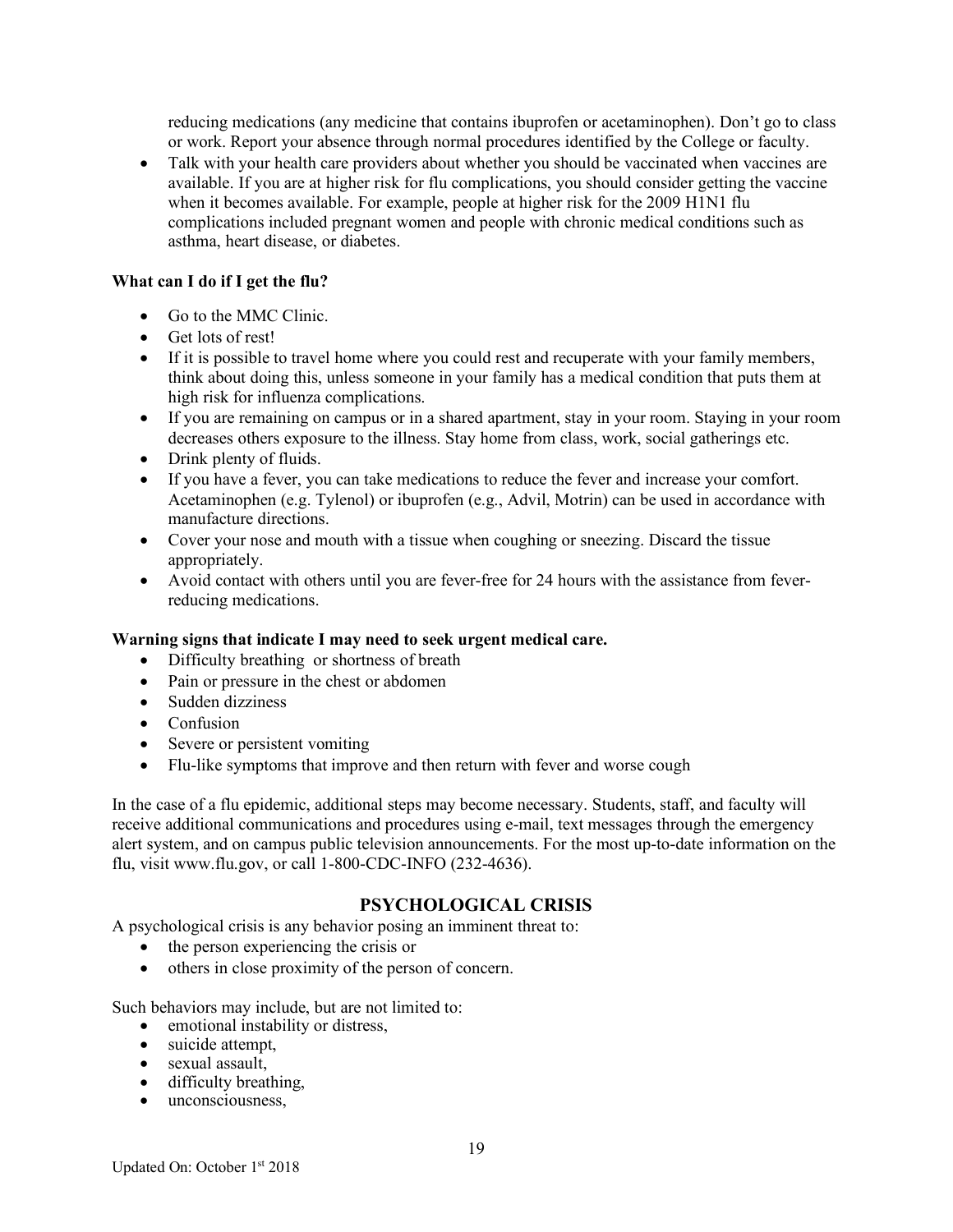reducing medications (any medicine that contains ibuprofen or acetaminophen). Don't go to class or work. Report your absence through normal procedures identified by the College or faculty.

• Talk with your health care providers about whether you should be vaccinated when vaccines are available. If you are at higher risk for flu complications, you should consider getting the vaccine when it becomes available. For example, people at higher risk for the 2009 H1N1 flu complications included pregnant women and people with chronic medical conditions such as asthma, heart disease, or diabetes.

#### **What can I do if I get the flu?**

- Go to the MMC Clinic.
- Get lots of rest!
- If it is possible to travel home where you could rest and recuperate with your family members, think about doing this, unless someone in your family has a medical condition that puts them at high risk for influenza complications.
- If you are remaining on campus or in a shared apartment, stay in your room. Staying in your room decreases others exposure to the illness. Stay home from class, work, social gatherings etc.
- Drink plenty of fluids.
- If you have a fever, you can take medications to reduce the fever and increase your comfort. Acetaminophen (e.g. Tylenol) or ibuprofen (e.g., Advil, Motrin) can be used in accordance with manufacture directions.
- Cover your nose and mouth with a tissue when coughing or sneezing. Discard the tissue appropriately.
- Avoid contact with others until you are fever-free for 24 hours with the assistance from feverreducing medications.

#### **Warning signs that indicate I may need to seek urgent medical care.**

- Difficulty breathing or shortness of breath
- Pain or pressure in the chest or abdomen
- Sudden dizziness
- Confusion
- Severe or persistent vomiting
- Flu-like symptoms that improve and then return with fever and worse cough

In the case of a flu epidemic, additional steps may become necessary. Students, staff, and faculty will receive additional communications and procedures using e-mail, text messages through the emergency alert system, and on campus public television announcements. For the most up-to-date information on the flu, visit www.flu.gov, or call 1-800-CDC-INFO (232-4636).

# **PSYCHOLOGICAL CRISIS**

A psychological crisis is any behavior posing an imminent threat to:

- the person experiencing the crisis or
- others in close proximity of the person of concern.

Such behaviors may include, but are not limited to:

- emotional instability or distress,
- suicide attempt,
- sexual assault.
- difficulty breathing,
- unconsciousness,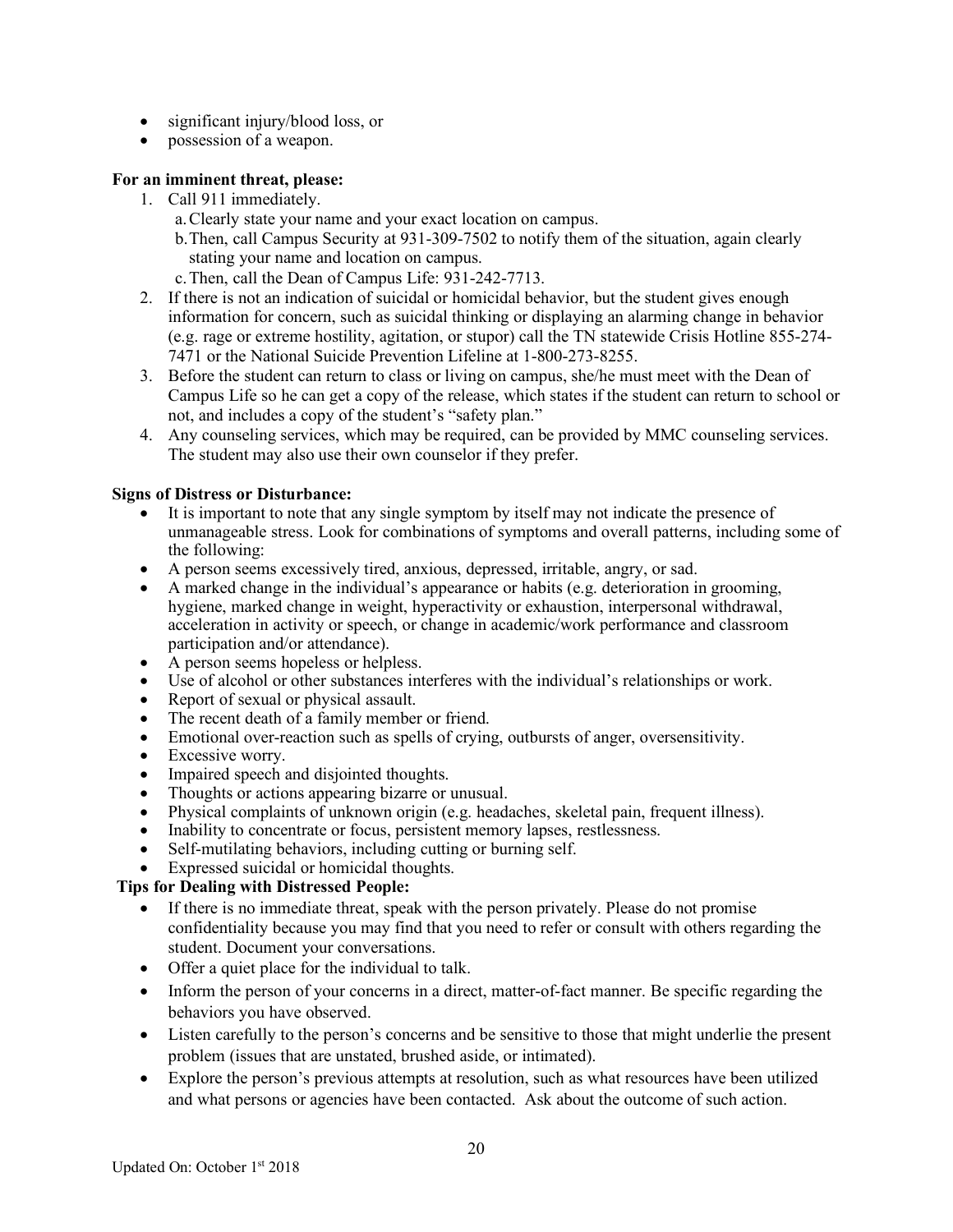- significant injury/blood loss, or
- possession of a weapon.

### **For an imminent threat, please:**

- 1. Call 911 immediately.
	- a.Clearly state your name and your exact location on campus.
	- b.Then, call Campus Security at 931-309-7502 to notify them of the situation, again clearly stating your name and location on campus.
	- c.Then, call the Dean of Campus Life: 931-242-7713.
- 2. If there is not an indication of suicidal or homicidal behavior, but the student gives enough information for concern, such as suicidal thinking or displaying an alarming change in behavior (e.g. rage or extreme hostility, agitation, or stupor) call the TN statewide Crisis Hotline 855-274- 7471 or the National Suicide Prevention Lifeline at 1-800-273-8255.
- 3. Before the student can return to class or living on campus, she/he must meet with the Dean of Campus Life so he can get a copy of the release, which states if the student can return to school or not, and includes a copy of the student's "safety plan."
- 4. Any counseling services, which may be required, can be provided by MMC counseling services. The student may also use their own counselor if they prefer.

### **Signs of Distress or Disturbance:**

- It is important to note that any single symptom by itself may not indicate the presence of unmanageable stress. Look for combinations of symptoms and overall patterns, including some of the following:
- A person seems excessively tired, anxious, depressed, irritable, angry, or sad.
- A marked change in the individual's appearance or habits (e.g. deterioration in grooming, hygiene, marked change in weight, hyperactivity or exhaustion, interpersonal withdrawal, acceleration in activity or speech, or change in academic/work performance and classroom participation and/or attendance).
- A person seems hopeless or helpless.
- Use of alcohol or other substances interferes with the individual's relationships or work.
- Report of sexual or physical assault.
- The recent death of a family member or friend.
- Emotional over-reaction such as spells of crying, outbursts of anger, oversensitivity.
- Excessive worry.
- Impaired speech and disjointed thoughts.
- Thoughts or actions appearing bizarre or unusual.
- Physical complaints of unknown origin (e.g. headaches, skeletal pain, frequent illness).
- Inability to concentrate or focus, persistent memory lapses, restlessness.
- Self-mutilating behaviors, including cutting or burning self.
- Expressed suicidal or homicidal thoughts.

# **Tips for Dealing with Distressed People:**

- If there is no immediate threat, speak with the person privately. Please do not promise confidentiality because you may find that you need to refer or consult with others regarding the student. Document your conversations.
- Offer a quiet place for the individual to talk.
- Inform the person of your concerns in a direct, matter-of-fact manner. Be specific regarding the behaviors you have observed.
- Listen carefully to the person's concerns and be sensitive to those that might underlie the present problem (issues that are unstated, brushed aside, or intimated).
- Explore the person's previous attempts at resolution, such as what resources have been utilized and what persons or agencies have been contacted. Ask about the outcome of such action.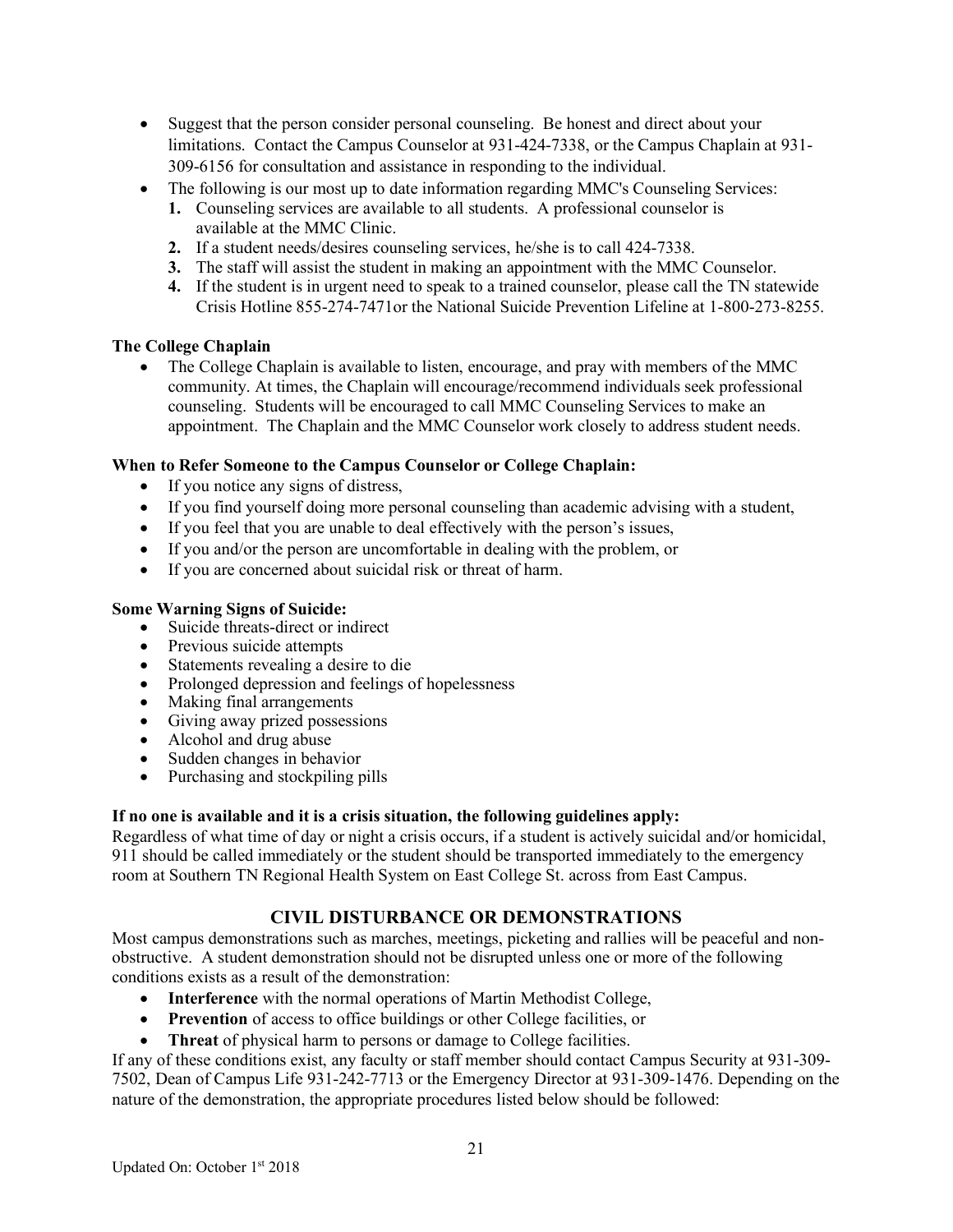- Suggest that the person consider personal counseling. Be honest and direct about your limitations. Contact the Campus Counselor at 931-424-7338, or the Campus Chaplain at 931- 309-6156 for consultation and assistance in responding to the individual.
- The following is our most up to date information regarding MMC's Counseling Services:
	- **1.** Counseling services are available to all students. A professional counselor is available at the MMC Clinic.
	- **2.** If a student needs/desires counseling services, he/she is to call 424-7338.
	- **3.** The staff will assist the student in making an appointment with the MMC Counselor.
	- **4.** If the student is in urgent need to speak to a trained counselor, please call the TN statewide Crisis Hotline 855-274-7471or the National Suicide Prevention Lifeline at 1-800-273-8255.

# **The College Chaplain**

• The College Chaplain is available to listen, encourage, and pray with members of the MMC community. At times, the Chaplain will encourage/recommend individuals seek professional counseling. Students will be encouraged to call MMC Counseling Services to make an appointment. The Chaplain and the MMC Counselor work closely to address student needs.

### **When to Refer Someone to the Campus Counselor or College Chaplain:**

- If you notice any signs of distress,
- If you find yourself doing more personal counseling than academic advising with a student,
- If you feel that you are unable to deal effectively with the person's issues,
- If you and/or the person are uncomfortable in dealing with the problem, or
- If you are concerned about suicidal risk or threat of harm.

#### **Some Warning Signs of Suicide:**

- Suicide threats-direct or indirect
- Previous suicide attempts
- Statements revealing a desire to die
- Prolonged depression and feelings of hopelessness
- Making final arrangements
- Giving away prized possessions
- Alcohol and drug abuse
- Sudden changes in behavior
- Purchasing and stockpiling pills

# **If no one is available and it is a crisis situation, the following guidelines apply:**

Regardless of what time of day or night a crisis occurs, if a student is actively suicidal and/or homicidal, 911 should be called immediately or the student should be transported immediately to the emergency room at Southern TN Regional Health System on East College St. across from East Campus.

# **CIVIL DISTURBANCE OR DEMONSTRATIONS**

Most campus demonstrations such as marches, meetings, picketing and rallies will be peaceful and nonobstructive. A student demonstration should not be disrupted unless one or more of the following conditions exists as a result of the demonstration:

- **Interference** with the normal operations of Martin Methodist College,
- **Prevention** of access to office buildings or other College facilities, or
- **Threat** of physical harm to persons or damage to College facilities.

If any of these conditions exist, any faculty or staff member should contact Campus Security at 931-309- 7502, Dean of Campus Life 931-242-7713 or the Emergency Director at 931-309-1476. Depending on the nature of the demonstration, the appropriate procedures listed below should be followed: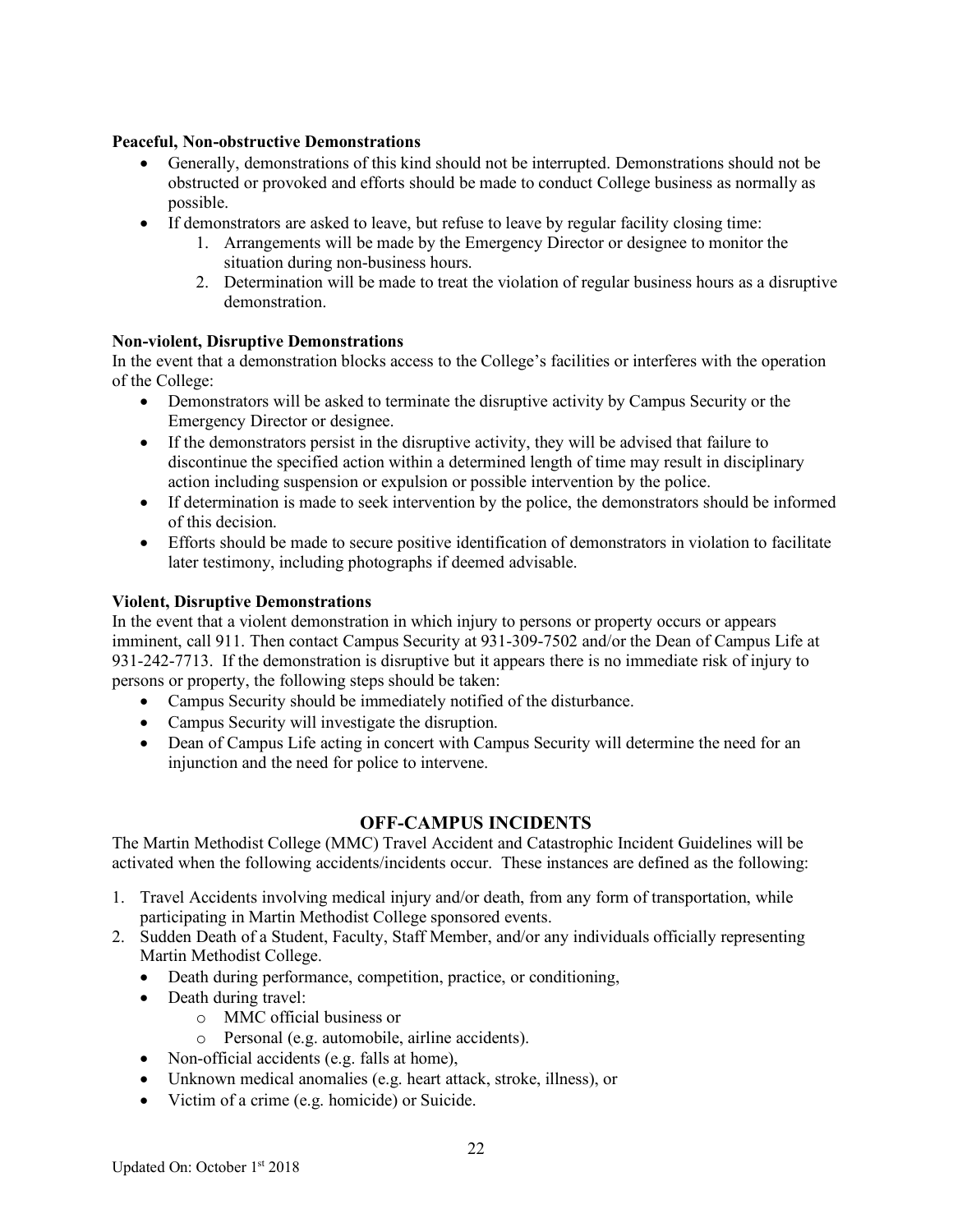# **Peaceful, Non-obstructive Demonstrations**

- Generally, demonstrations of this kind should not be interrupted. Demonstrations should not be obstructed or provoked and efforts should be made to conduct College business as normally as possible.
- If demonstrators are asked to leave, but refuse to leave by regular facility closing time:
	- 1. Arrangements will be made by the Emergency Director or designee to monitor the situation during non-business hours.
	- 2. Determination will be made to treat the violation of regular business hours as a disruptive demonstration.

### **Non-violent, Disruptive Demonstrations**

In the event that a demonstration blocks access to the College's facilities or interferes with the operation of the College:

- Demonstrators will be asked to terminate the disruptive activity by Campus Security or the Emergency Director or designee.
- If the demonstrators persist in the disruptive activity, they will be advised that failure to discontinue the specified action within a determined length of time may result in disciplinary action including suspension or expulsion or possible intervention by the police.
- If determination is made to seek intervention by the police, the demonstrators should be informed of this decision.
- Efforts should be made to secure positive identification of demonstrators in violation to facilitate later testimony, including photographs if deemed advisable.

### **Violent, Disruptive Demonstrations**

In the event that a violent demonstration in which injury to persons or property occurs or appears imminent, call 911. Then contact Campus Security at 931-309-7502 and/or the Dean of Campus Life at 931-242-7713. If the demonstration is disruptive but it appears there is no immediate risk of injury to persons or property, the following steps should be taken:

- Campus Security should be immediately notified of the disturbance.
- Campus Security will investigate the disruption.
- Dean of Campus Life acting in concert with Campus Security will determine the need for an injunction and the need for police to intervene.

# **OFF-CAMPUS INCIDENTS**

The Martin Methodist College (MMC) Travel Accident and Catastrophic Incident Guidelines will be activated when the following accidents/incidents occur. These instances are defined as the following:

- 1. Travel Accidents involving medical injury and/or death, from any form of transportation, while participating in Martin Methodist College sponsored events.
- 2. Sudden Death of a Student, Faculty, Staff Member, and/or any individuals officially representing Martin Methodist College.
	- Death during performance, competition, practice, or conditioning,
	- Death during travel:
		- o MMC official business or
		- o Personal (e.g. automobile, airline accidents).
	- Non-official accidents (e.g. falls at home),
	- Unknown medical anomalies (e.g. heart attack, stroke, illness), or
	- Victim of a crime (e.g. homicide) or Suicide.